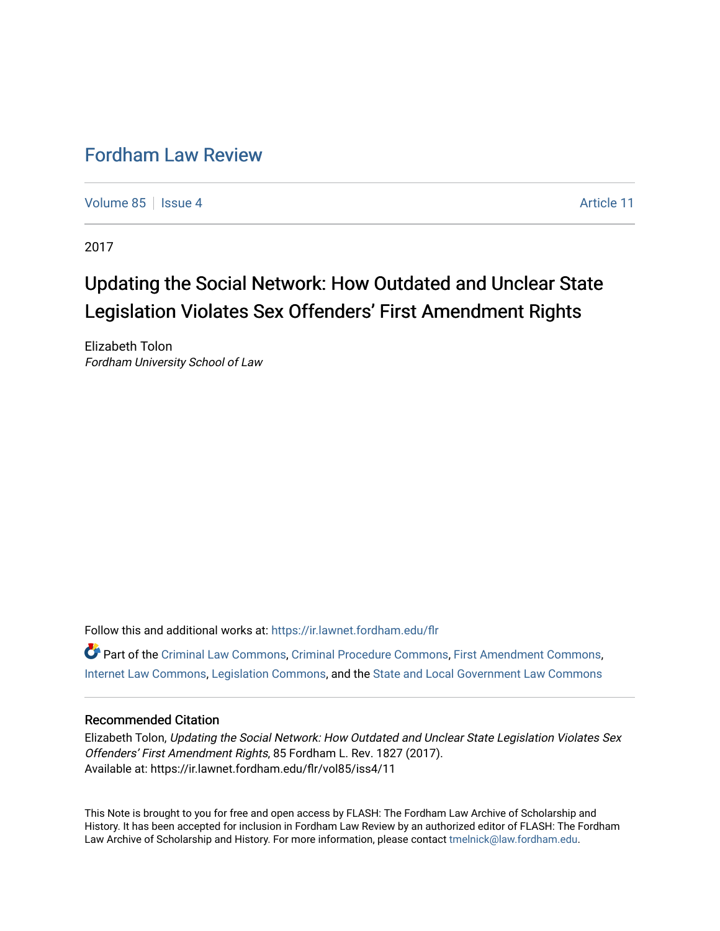# [Fordham Law Review](https://ir.lawnet.fordham.edu/flr)

[Volume 85](https://ir.lawnet.fordham.edu/flr/vol85) | [Issue 4](https://ir.lawnet.fordham.edu/flr/vol85/iss4) Article 11

2017

# Updating the Social Network: How Outdated and Unclear State Legislation Violates Sex Offenders' First Amendment Rights

Elizabeth Tolon Fordham University School of Law

Follow this and additional works at: [https://ir.lawnet.fordham.edu/flr](https://ir.lawnet.fordham.edu/flr?utm_source=ir.lawnet.fordham.edu%2Fflr%2Fvol85%2Fiss4%2F11&utm_medium=PDF&utm_campaign=PDFCoverPages)

Part of the [Criminal Law Commons,](http://network.bepress.com/hgg/discipline/912?utm_source=ir.lawnet.fordham.edu%2Fflr%2Fvol85%2Fiss4%2F11&utm_medium=PDF&utm_campaign=PDFCoverPages) [Criminal Procedure Commons,](http://network.bepress.com/hgg/discipline/1073?utm_source=ir.lawnet.fordham.edu%2Fflr%2Fvol85%2Fiss4%2F11&utm_medium=PDF&utm_campaign=PDFCoverPages) [First Amendment Commons](http://network.bepress.com/hgg/discipline/1115?utm_source=ir.lawnet.fordham.edu%2Fflr%2Fvol85%2Fiss4%2F11&utm_medium=PDF&utm_campaign=PDFCoverPages), [Internet Law Commons,](http://network.bepress.com/hgg/discipline/892?utm_source=ir.lawnet.fordham.edu%2Fflr%2Fvol85%2Fiss4%2F11&utm_medium=PDF&utm_campaign=PDFCoverPages) [Legislation Commons](http://network.bepress.com/hgg/discipline/859?utm_source=ir.lawnet.fordham.edu%2Fflr%2Fvol85%2Fiss4%2F11&utm_medium=PDF&utm_campaign=PDFCoverPages), and the [State and Local Government Law Commons](http://network.bepress.com/hgg/discipline/879?utm_source=ir.lawnet.fordham.edu%2Fflr%2Fvol85%2Fiss4%2F11&utm_medium=PDF&utm_campaign=PDFCoverPages)

# Recommended Citation

Elizabeth Tolon, Updating the Social Network: How Outdated and Unclear State Legislation Violates Sex Offenders' First Amendment Rights, 85 Fordham L. Rev. 1827 (2017). Available at: https://ir.lawnet.fordham.edu/flr/vol85/iss4/11

This Note is brought to you for free and open access by FLASH: The Fordham Law Archive of Scholarship and History. It has been accepted for inclusion in Fordham Law Review by an authorized editor of FLASH: The Fordham Law Archive of Scholarship and History. For more information, please contact [tmelnick@law.fordham.edu](mailto:tmelnick@law.fordham.edu).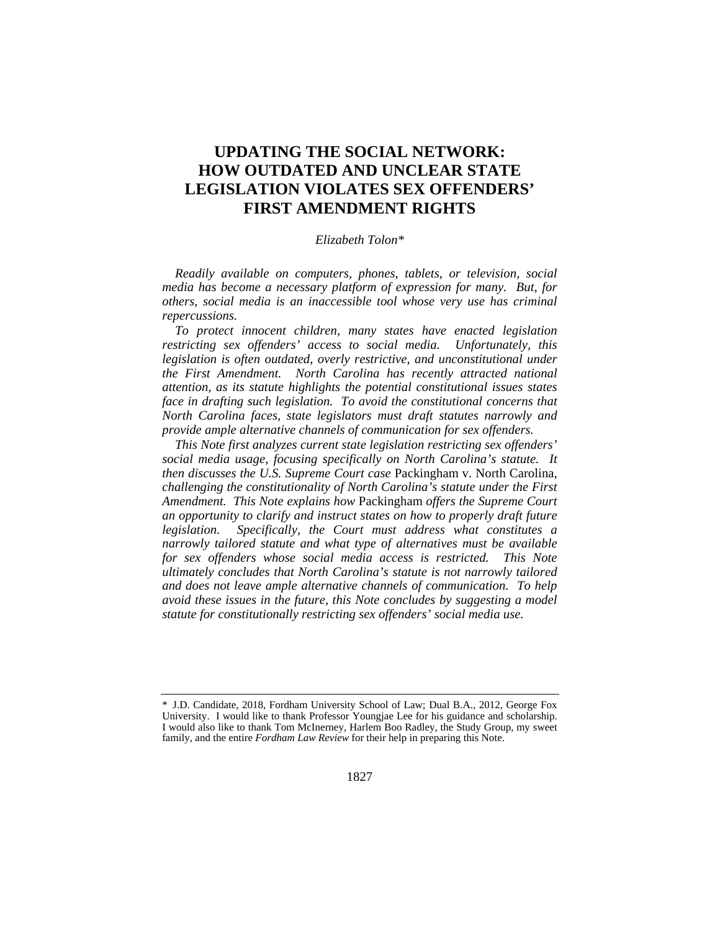# **UPDATING THE SOCIAL NETWORK: HOW OUTDATED AND UNCLEAR STATE LEGISLATION VIOLATES SEX OFFENDERS' FIRST AMENDMENT RIGHTS**

#### *Elizabeth Tolon\**

*Readily available on computers, phones, tablets, or television, social media has become a necessary platform of expression for many. But, for others, social media is an inaccessible tool whose very use has criminal repercussions.* 

*To protect innocent children, many states have enacted legislation restricting sex offenders' access to social media. Unfortunately, this legislation is often outdated, overly restrictive, and unconstitutional under the First Amendment. North Carolina has recently attracted national attention, as its statute highlights the potential constitutional issues states*  face in drafting such legislation. To avoid the constitutional concerns that *North Carolina faces, state legislators must draft statutes narrowly and provide ample alternative channels of communication for sex offenders.* 

*This Note first analyzes current state legislation restricting sex offenders' social media usage, focusing specifically on North Carolina's statute. It then discusses the U.S. Supreme Court case* Packingham v. North Carolina*, challenging the constitutionality of North Carolina's statute under the First Amendment. This Note explains how* Packingham *offers the Supreme Court an opportunity to clarify and instruct states on how to properly draft future legislation. Specifically, the Court must address what constitutes a narrowly tailored statute and what type of alternatives must be available for sex offenders whose social media access is restricted. This Note ultimately concludes that North Carolina's statute is not narrowly tailored and does not leave ample alternative channels of communication. To help avoid these issues in the future, this Note concludes by suggesting a model statute for constitutionally restricting sex offenders' social media use.* 

<sup>\*</sup> J.D. Candidate, 2018, Fordham University School of Law; Dual B.A., 2012, George Fox University. I would like to thank Professor Youngjae Lee for his guidance and scholarship. I would also like to thank Tom McInerney, Harlem Boo Radley, the Study Group, my sweet family, and the entire *Fordham Law Review* for their help in preparing this Note.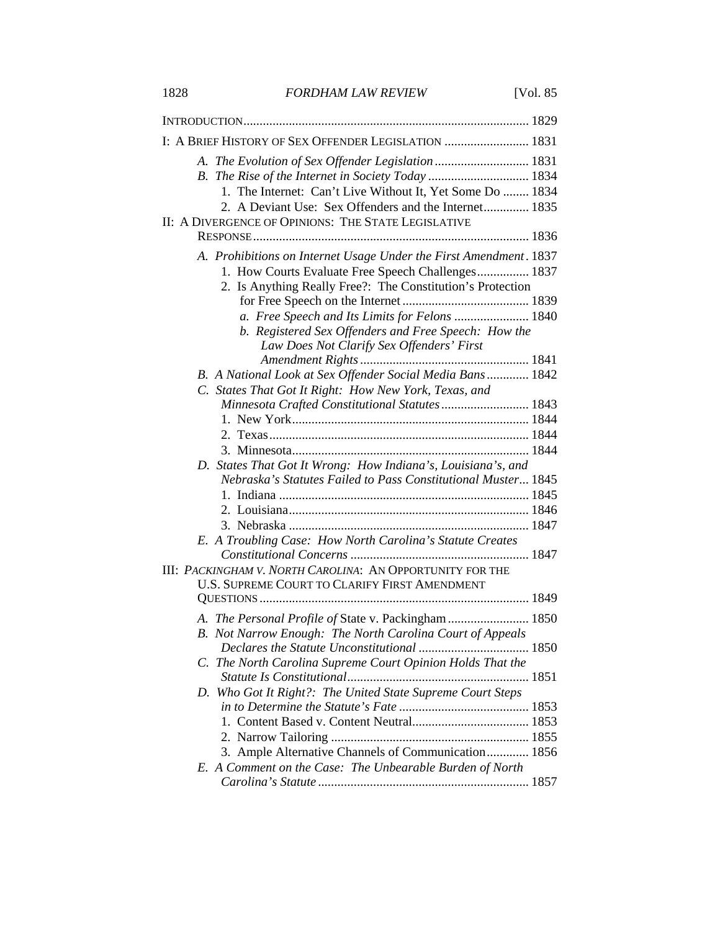1828 *FORDHAM LAW REVIEW* [Vol. 85

| I: A BRIEF HISTORY OF SEX OFFENDER LEGISLATION  1831                                                                                                                                  |  |
|---------------------------------------------------------------------------------------------------------------------------------------------------------------------------------------|--|
| A. The Evolution of Sex Offender Legislation  1831<br>1. The Internet: Can't Live Without It, Yet Some Do  1834<br>2. A Deviant Use: Sex Offenders and the Internet 1835              |  |
| II: A DIVERGENCE OF OPINIONS: THE STATE LEGISLATIVE                                                                                                                                   |  |
|                                                                                                                                                                                       |  |
| A. Prohibitions on Internet Usage Under the First Amendment. 1837<br>1. How Courts Evaluate Free Speech Challenges 1837<br>2. Is Anything Really Free?: The Constitution's Protection |  |
|                                                                                                                                                                                       |  |
| a. Free Speech and Its Limits for Felons  1840                                                                                                                                        |  |
| b. Registered Sex Offenders and Free Speech: How the                                                                                                                                  |  |
| Law Does Not Clarify Sex Offenders' First                                                                                                                                             |  |
|                                                                                                                                                                                       |  |
| B. A National Look at Sex Offender Social Media Bans 1842<br>C. States That Got It Right: How New York, Texas, and                                                                    |  |
| Minnesota Crafted Constitutional Statutes 1843                                                                                                                                        |  |
|                                                                                                                                                                                       |  |
|                                                                                                                                                                                       |  |
|                                                                                                                                                                                       |  |
| D. States That Got It Wrong: How Indiana's, Louisiana's, and                                                                                                                          |  |
| Nebraska's Statutes Failed to Pass Constitutional Muster 1845                                                                                                                         |  |
|                                                                                                                                                                                       |  |
|                                                                                                                                                                                       |  |
|                                                                                                                                                                                       |  |
| E. A Troubling Case: How North Carolina's Statute Creates                                                                                                                             |  |
| III: PACKINGHAM V. NORTH CAROLINA: AN OPPORTUNITY FOR THE<br>U.S. SUPREME COURT TO CLARIFY FIRST AMENDMENT                                                                            |  |
|                                                                                                                                                                                       |  |
| A. The Personal Profile of State v. Packingham  1850                                                                                                                                  |  |
| B. Not Narrow Enough: The North Carolina Court of Appeals                                                                                                                             |  |
| C. The North Carolina Supreme Court Opinion Holds That the                                                                                                                            |  |
| D. Who Got It Right?: The United State Supreme Court Steps                                                                                                                            |  |
|                                                                                                                                                                                       |  |
|                                                                                                                                                                                       |  |
|                                                                                                                                                                                       |  |
| 3. Ample Alternative Channels of Communication 1856                                                                                                                                   |  |
| E. A Comment on the Case: The Unbearable Burden of North                                                                                                                              |  |
|                                                                                                                                                                                       |  |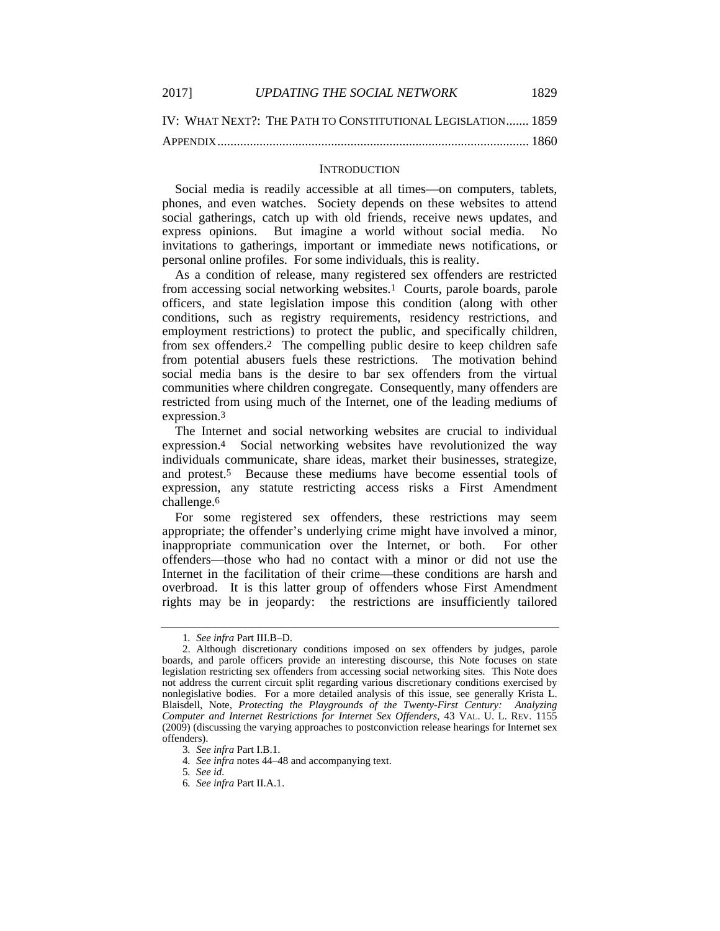2017] *UPDATING THE SOCIAL NETWORK* 1829

IV: WHAT NEXT?: THE PATH TO CONSTITUTIONAL LEGISLATION ....... 1859 APPENDIX ................................................................................................ 1860

#### **INTRODUCTION**

Social media is readily accessible at all times—on computers, tablets, phones, and even watches. Society depends on these websites to attend social gatherings, catch up with old friends, receive news updates, and express opinions. But imagine a world without social media. No invitations to gatherings, important or immediate news notifications, or personal online profiles. For some individuals, this is reality.

As a condition of release, many registered sex offenders are restricted from accessing social networking websites.1 Courts, parole boards, parole officers, and state legislation impose this condition (along with other conditions, such as registry requirements, residency restrictions, and employment restrictions) to protect the public, and specifically children, from sex offenders.2 The compelling public desire to keep children safe from potential abusers fuels these restrictions. The motivation behind social media bans is the desire to bar sex offenders from the virtual communities where children congregate. Consequently, many offenders are restricted from using much of the Internet, one of the leading mediums of expression.3

The Internet and social networking websites are crucial to individual expression.4 Social networking websites have revolutionized the way individuals communicate, share ideas, market their businesses, strategize, and protest.5 Because these mediums have become essential tools of expression, any statute restricting access risks a First Amendment challenge.6

For some registered sex offenders, these restrictions may seem appropriate; the offender's underlying crime might have involved a minor, inappropriate communication over the Internet, or both. For other offenders—those who had no contact with a minor or did not use the Internet in the facilitation of their crime—these conditions are harsh and overbroad. It is this latter group of offenders whose First Amendment rights may be in jeopardy: the restrictions are insufficiently tailored

<sup>1</sup>*. See infra* Part III.B–D.

 <sup>2.</sup> Although discretionary conditions imposed on sex offenders by judges, parole boards, and parole officers provide an interesting discourse, this Note focuses on state legislation restricting sex offenders from accessing social networking sites. This Note does not address the current circuit split regarding various discretionary conditions exercised by nonlegislative bodies. For a more detailed analysis of this issue, see generally Krista L. Blaisdell, Note, *Protecting the Playgrounds of the Twenty-First Century: Analyzing Computer and Internet Restrictions for Internet Sex Offenders*, 43 VAL. U. L. REV. 1155 (2009) (discussing the varying approaches to postconviction release hearings for Internet sex offenders).

<sup>3</sup>*. See infra* Part I.B.1.

<sup>4</sup>*. See infra* notes 44–48 and accompanying text.

<sup>5</sup>*. See id.*

<sup>6</sup>*. See infra* Part II.A.1.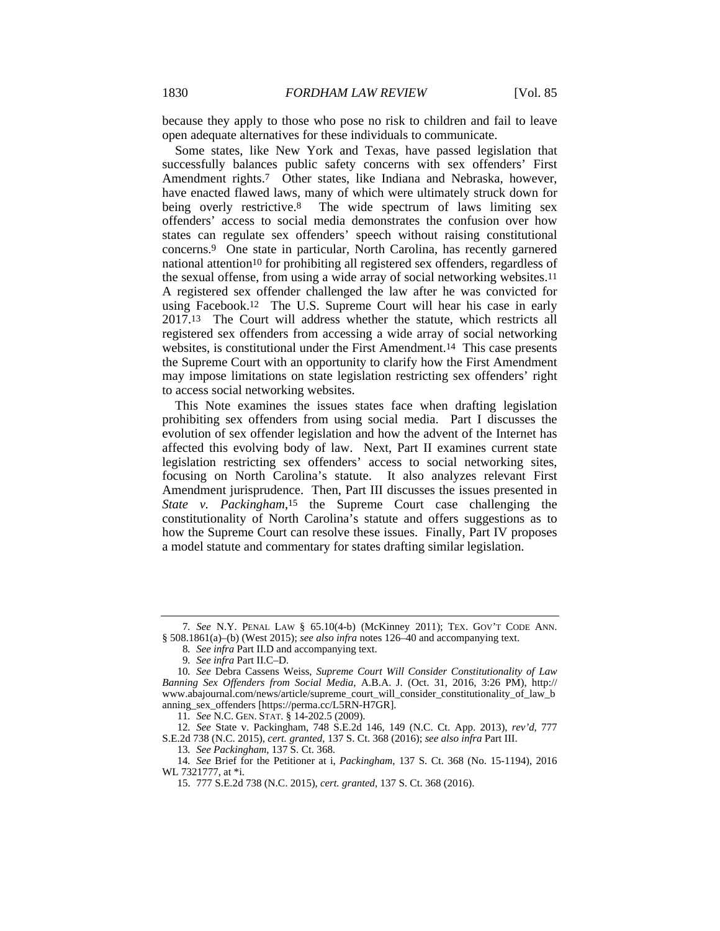because they apply to those who pose no risk to children and fail to leave open adequate alternatives for these individuals to communicate.

Some states, like New York and Texas, have passed legislation that successfully balances public safety concerns with sex offenders' First Amendment rights.7 Other states, like Indiana and Nebraska, however, have enacted flawed laws, many of which were ultimately struck down for being overly restrictive.<sup>8</sup> The wide spectrum of laws limiting sex offenders' access to social media demonstrates the confusion over how states can regulate sex offenders' speech without raising constitutional concerns.9 One state in particular, North Carolina, has recently garnered national attention10 for prohibiting all registered sex offenders, regardless of the sexual offense, from using a wide array of social networking websites.11 A registered sex offender challenged the law after he was convicted for using Facebook.12 The U.S. Supreme Court will hear his case in early 2017.13 The Court will address whether the statute, which restricts all registered sex offenders from accessing a wide array of social networking websites, is constitutional under the First Amendment.14 This case presents the Supreme Court with an opportunity to clarify how the First Amendment may impose limitations on state legislation restricting sex offenders' right to access social networking websites.

This Note examines the issues states face when drafting legislation prohibiting sex offenders from using social media. Part I discusses the evolution of sex offender legislation and how the advent of the Internet has affected this evolving body of law. Next, Part II examines current state legislation restricting sex offenders' access to social networking sites, focusing on North Carolina's statute. It also analyzes relevant First Amendment jurisprudence. Then, Part III discusses the issues presented in *State v. Packingham*,15 the Supreme Court case challenging the constitutionality of North Carolina's statute and offers suggestions as to how the Supreme Court can resolve these issues. Finally, Part IV proposes a model statute and commentary for states drafting similar legislation.

<sup>7</sup>*. See* N.Y. PENAL LAW § 65.10(4-b) (McKinney 2011); TEX. GOV'T CODE ANN. § 508.1861(a)–(b) (West 2015); *see also infra* notes 126–40 and accompanying text.

<sup>8</sup>*. See infra* Part II.D and accompanying text.

<sup>9</sup>*. See infra* Part II.C–D.

<sup>10</sup>*. See* Debra Cassens Weiss, *Supreme Court Will Consider Constitutionality of Law Banning Sex Offenders from Social Media*, A.B.A. J. (Oct. 31, 2016, 3:26 PM), http:// www.abajournal.com/news/article/supreme\_court\_will\_consider\_constitutionality\_of\_law\_b anning\_sex\_offenders [https://perma.cc/L5RN-H7GR].

<sup>11</sup>*. See* N.C. GEN. STAT. § 14-202.5 (2009).

<sup>12</sup>*. See* State v. Packingham, 748 S.E.2d 146, 149 (N.C. Ct. App. 2013), *rev'd*, 777 S.E.2d 738 (N.C. 2015), *cert. granted*, 137 S. Ct. 368 (2016); *see also infra* Part III.

<sup>13</sup>*. See Packingham*, 137 S. Ct. 368.

<sup>14</sup>*. See* Brief for the Petitioner at i, *Packingham*, 137 S. Ct. 368 (No. 15-1194), 2016 WL 7321777, at \*i.

 <sup>15. 777</sup> S.E.2d 738 (N.C. 2015), *cert. granted*, 137 S. Ct. 368 (2016).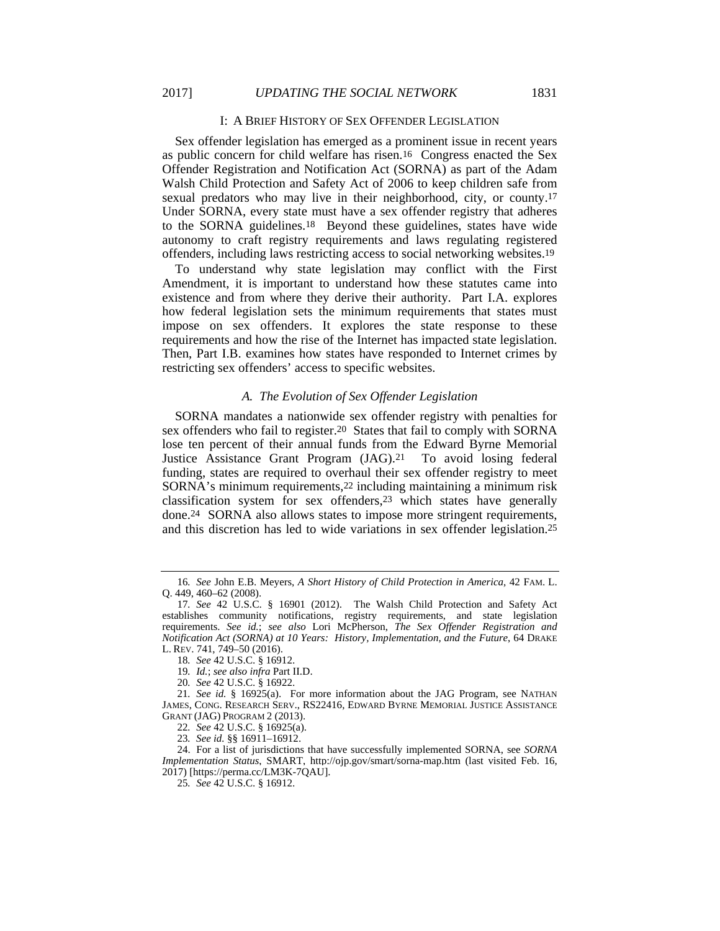#### I: A BRIEF HISTORY OF SEX OFFENDER LEGISLATION

Sex offender legislation has emerged as a prominent issue in recent years as public concern for child welfare has risen.16 Congress enacted the Sex Offender Registration and Notification Act (SORNA) as part of the Adam Walsh Child Protection and Safety Act of 2006 to keep children safe from sexual predators who may live in their neighborhood, city, or county.17 Under SORNA, every state must have a sex offender registry that adheres to the SORNA guidelines.18 Beyond these guidelines, states have wide autonomy to craft registry requirements and laws regulating registered offenders, including laws restricting access to social networking websites.19

To understand why state legislation may conflict with the First Amendment, it is important to understand how these statutes came into existence and from where they derive their authority. Part I.A. explores how federal legislation sets the minimum requirements that states must impose on sex offenders. It explores the state response to these requirements and how the rise of the Internet has impacted state legislation. Then, Part I.B. examines how states have responded to Internet crimes by restricting sex offenders' access to specific websites.

#### *A. The Evolution of Sex Offender Legislation*

SORNA mandates a nationwide sex offender registry with penalties for sex offenders who fail to register.<sup>20</sup> States that fail to comply with SORNA lose ten percent of their annual funds from the Edward Byrne Memorial Justice Assistance Grant Program (JAG).21 To avoid losing federal funding, states are required to overhaul their sex offender registry to meet SORNA's minimum requirements,22 including maintaining a minimum risk classification system for sex offenders,23 which states have generally done.24 SORNA also allows states to impose more stringent requirements, and this discretion has led to wide variations in sex offender legislation.25

<sup>16</sup>*. See* John E.B. Meyers, *A Short History of Child Protection in America*, 42 FAM. L. Q. 449, 460–62 (2008).

<sup>17</sup>*. See* 42 U.S.C. § 16901 (2012). The Walsh Child Protection and Safety Act establishes community notifications, registry requirements, and state legislation requirements. *See id.*; *see also* Lori McPherson, *The Sex Offender Registration and Notification Act (SORNA) at 10 Years: History, Implementation, and the Future*, 64 DRAKE L. REV. 741, 749–50 (2016).

<sup>18</sup>*. See* 42 U.S.C. § 16912.

<sup>19</sup>*. Id.*; *see also infra* Part II.D.

<sup>20</sup>*. See* 42 U.S.C. § 16922.

<sup>21</sup>*. See id.* § 16925(a). For more information about the JAG Program, see NATHAN JAMES, CONG. RESEARCH SERV., RS22416, EDWARD BYRNE MEMORIAL JUSTICE ASSISTANCE GRANT (JAG) PROGRAM 2 (2013).

<sup>22</sup>*. See* 42 U.S.C. § 16925(a).

<sup>23</sup>*. See id.* §§ 16911–16912.

 <sup>24.</sup> For a list of jurisdictions that have successfully implemented SORNA, see *SORNA Implementation Status*, SMART, http://ojp.gov/smart/sorna-map.htm (last visited Feb. 16, 2017) [https://perma.cc/LM3K-7QAU].

<sup>25</sup>*. See* 42 U.S.C. § 16912.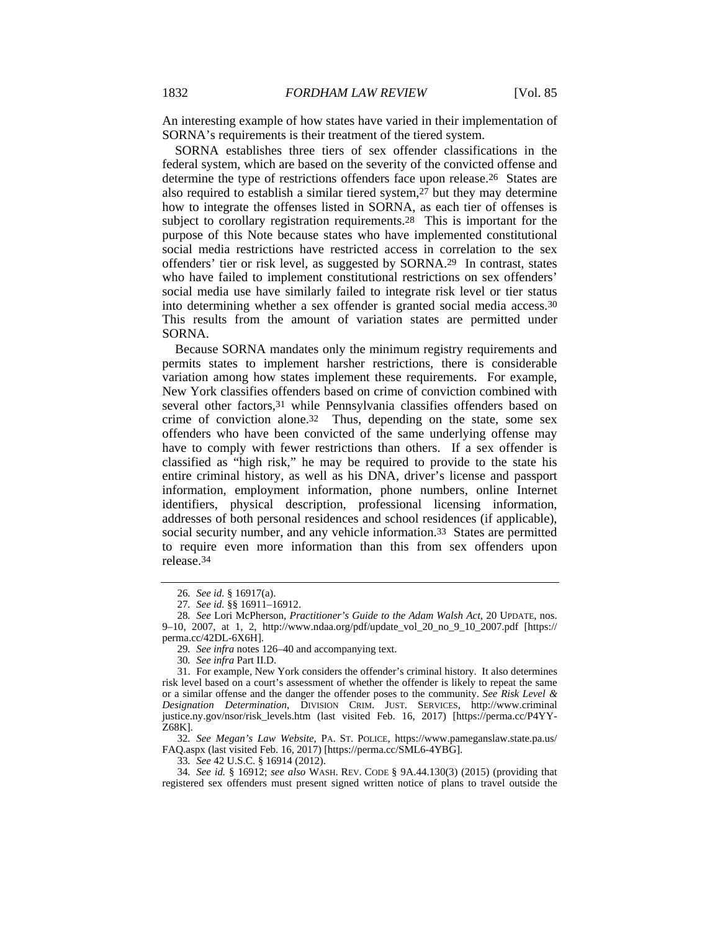An interesting example of how states have varied in their implementation of SORNA's requirements is their treatment of the tiered system.

SORNA establishes three tiers of sex offender classifications in the federal system, which are based on the severity of the convicted offense and determine the type of restrictions offenders face upon release.26 States are also required to establish a similar tiered system,27 but they may determine how to integrate the offenses listed in SORNA, as each tier of offenses is subject to corollary registration requirements.28 This is important for the purpose of this Note because states who have implemented constitutional social media restrictions have restricted access in correlation to the sex offenders' tier or risk level, as suggested by SORNA.29 In contrast, states who have failed to implement constitutional restrictions on sex offenders' social media use have similarly failed to integrate risk level or tier status into determining whether a sex offender is granted social media access.30 This results from the amount of variation states are permitted under SORNA.

Because SORNA mandates only the minimum registry requirements and permits states to implement harsher restrictions, there is considerable variation among how states implement these requirements. For example, New York classifies offenders based on crime of conviction combined with several other factors, 31 while Pennsylvania classifies offenders based on crime of conviction alone.32 Thus, depending on the state, some sex offenders who have been convicted of the same underlying offense may have to comply with fewer restrictions than others. If a sex offender is classified as "high risk," he may be required to provide to the state his entire criminal history, as well as his DNA, driver's license and passport information, employment information, phone numbers, online Internet identifiers, physical description, professional licensing information, addresses of both personal residences and school residences (if applicable), social security number, and any vehicle information.<sup>33</sup> States are permitted to require even more information than this from sex offenders upon release.34

32*. See Megan's Law Website*, PA. ST. POLICE, https://www.pameganslaw.state.pa.us/ FAQ.aspx (last visited Feb. 16, 2017) [https://perma.cc/SML6-4YBG].

33*. See* 42 U.S.C. § 16914 (2012).

34*. See id.* § 16912; *see also* WASH. REV. CODE § 9A.44.130(3) (2015) (providing that registered sex offenders must present signed written notice of plans to travel outside the

<sup>26</sup>*. See id.* § 16917(a).

<sup>27</sup>*. See id.* §§ 16911–16912.

<sup>28</sup>*. See* Lori McPherson, *Practitioner's Guide to the Adam Walsh Act*, 20 UPDATE, nos. 9–10, 2007, at 1, 2, http://www.ndaa.org/pdf/update\_vol\_20\_no\_9\_10\_2007.pdf [https:// perma.cc/42DL-6X6H].

<sup>29</sup>*. See infra* notes 126–40 and accompanying text.

<sup>30</sup>*. See infra* Part II.D.

 <sup>31.</sup> For example, New York considers the offender's criminal history. It also determines risk level based on a court's assessment of whether the offender is likely to repeat the same or a similar offense and the danger the offender poses to the community. *See Risk Level & Designation Determination*, DIVISION CRIM. JUST. SERVICES, http://www.criminal justice.ny.gov/nsor/risk\_levels.htm (last visited Feb. 16, 2017) [https://perma.cc/P4YY-Z68K].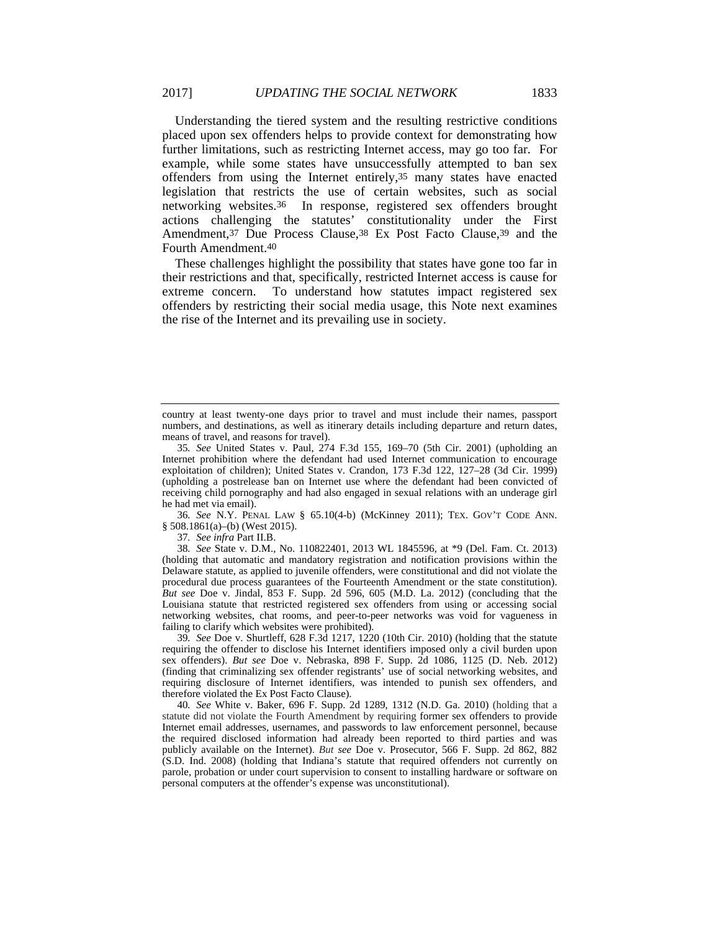Understanding the tiered system and the resulting restrictive conditions placed upon sex offenders helps to provide context for demonstrating how further limitations, such as restricting Internet access, may go too far. For example, while some states have unsuccessfully attempted to ban sex offenders from using the Internet entirely,35 many states have enacted legislation that restricts the use of certain websites, such as social networking websites.36 In response, registered sex offenders brought actions challenging the statutes' constitutionality under the First Amendment,<sup>37</sup> Due Process Clause,<sup>38</sup> Ex Post Facto Clause,<sup>39</sup> and the Fourth Amendment.40

These challenges highlight the possibility that states have gone too far in their restrictions and that, specifically, restricted Internet access is cause for extreme concern. To understand how statutes impact registered sex offenders by restricting their social media usage, this Note next examines the rise of the Internet and its prevailing use in society.

36*. See* N.Y. PENAL LAW § 65.10(4-b) (McKinney 2011); TEX. GOV'T CODE ANN. § 508.1861(a)–(b) (West 2015).

37*. See infra* Part II.B.

38*. See* State v. D.M., No. 110822401, 2013 WL 1845596, at \*9 (Del. Fam. Ct. 2013) (holding that automatic and mandatory registration and notification provisions within the Delaware statute, as applied to juvenile offenders, were constitutional and did not violate the procedural due process guarantees of the Fourteenth Amendment or the state constitution). *But see* Doe v. Jindal, 853 F. Supp. 2d 596, 605 (M.D. La. 2012) (concluding that the Louisiana statute that restricted registered sex offenders from using or accessing social networking websites, chat rooms, and peer-to-peer networks was void for vagueness in failing to clarify which websites were prohibited).

39*. See* Doe v. Shurtleff, 628 F.3d 1217, 1220 (10th Cir. 2010) (holding that the statute requiring the offender to disclose his Internet identifiers imposed only a civil burden upon sex offenders). *But see* Doe v. Nebraska, 898 F. Supp. 2d 1086, 1125 (D. Neb. 2012) (finding that criminalizing sex offender registrants' use of social networking websites, and requiring disclosure of Internet identifiers, was intended to punish sex offenders, and therefore violated the Ex Post Facto Clause).

40*. See* White v. Baker, 696 F. Supp. 2d 1289, 1312 (N.D. Ga. 2010) (holding that a statute did not violate the Fourth Amendment by requiring former sex offenders to provide Internet email addresses, usernames, and passwords to law enforcement personnel, because the required disclosed information had already been reported to third parties and was publicly available on the Internet). *But see* Doe v. Prosecutor, 566 F. Supp. 2d 862, 882 (S.D. Ind. 2008) (holding that Indiana's statute that required offenders not currently on parole, probation or under court supervision to consent to installing hardware or software on personal computers at the offender's expense was unconstitutional).

country at least twenty-one days prior to travel and must include their names, passport numbers, and destinations, as well as itinerary details including departure and return dates, means of travel, and reasons for travel).

<sup>35</sup>*. See* United States v. Paul, 274 F.3d 155, 169–70 (5th Cir. 2001) (upholding an Internet prohibition where the defendant had used Internet communication to encourage exploitation of children); United States v. Crandon, 173 F.3d 122, 127–28 (3d Cir. 1999) (upholding a postrelease ban on Internet use where the defendant had been convicted of receiving child pornography and had also engaged in sexual relations with an underage girl he had met via email).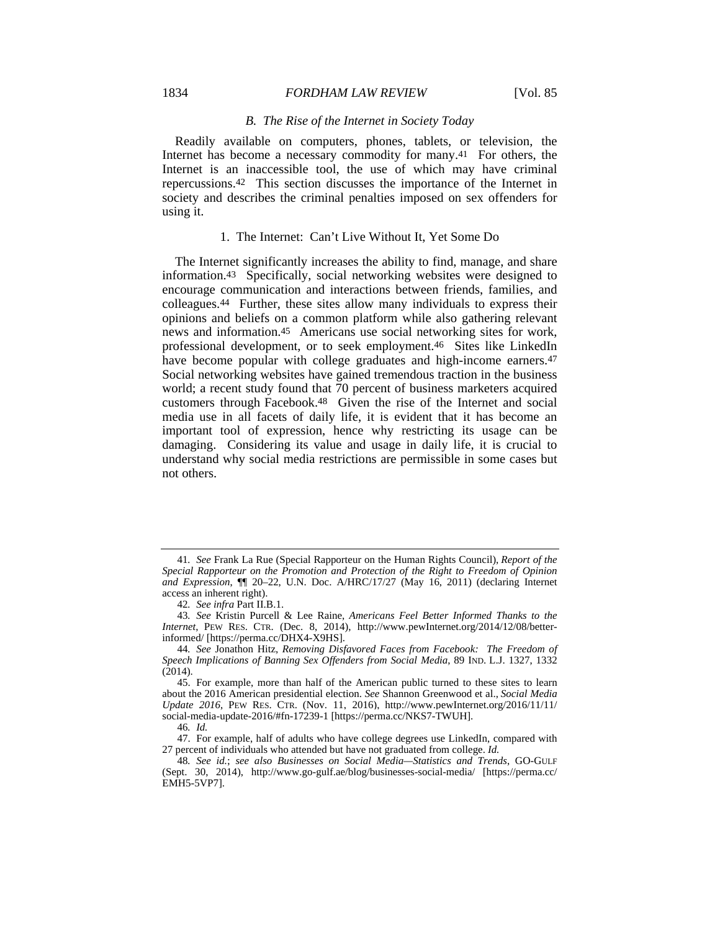#### 1834 *FORDHAM LAW REVIEW* [Vol. 85

#### *B. The Rise of the Internet in Society Today*

Readily available on computers, phones, tablets, or television, the Internet has become a necessary commodity for many.41 For others, the Internet is an inaccessible tool, the use of which may have criminal repercussions.42 This section discusses the importance of the Internet in society and describes the criminal penalties imposed on sex offenders for using it.

#### 1. The Internet: Can't Live Without It, Yet Some Do

The Internet significantly increases the ability to find, manage, and share information.43 Specifically, social networking websites were designed to encourage communication and interactions between friends, families, and colleagues.44 Further, these sites allow many individuals to express their opinions and beliefs on a common platform while also gathering relevant news and information.45 Americans use social networking sites for work, professional development, or to seek employment.46 Sites like LinkedIn have become popular with college graduates and high-income earners.<sup>47</sup> Social networking websites have gained tremendous traction in the business world; a recent study found that 70 percent of business marketers acquired customers through Facebook.48 Given the rise of the Internet and social media use in all facets of daily life, it is evident that it has become an important tool of expression, hence why restricting its usage can be damaging. Considering its value and usage in daily life, it is crucial to understand why social media restrictions are permissible in some cases but not others.

<sup>41</sup>*. See* Frank La Rue (Special Rapporteur on the Human Rights Council), *Report of the Special Rapporteur on the Promotion and Protection of the Right to Freedom of Opinion and Expression*, ¶¶ 20–22, U.N. Doc. A/HRC/17/27 (May 16, 2011) (declaring Internet access an inherent right).

<sup>42</sup>*. See infra* Part II.B.1.

<sup>43</sup>*. See* Kristin Purcell & Lee Raine, *Americans Feel Better Informed Thanks to the Internet*, PEW RES. CTR. (Dec. 8, 2014), http://www.pewInternet.org/2014/12/08/betterinformed/ [https://perma.cc/DHX4-X9HS].

<sup>44</sup>*. See* Jonathon Hitz, *Removing Disfavored Faces from Facebook: The Freedom of Speech Implications of Banning Sex Offenders from Social Media*, 89 IND. L.J. 1327, 1332  $(2014).$ 

 <sup>45.</sup> For example, more than half of the American public turned to these sites to learn about the 2016 American presidential election. *See* Shannon Greenwood et al., *Social Media Update 2016*, PEW RES. CTR. (Nov. 11, 2016), http://www.pewInternet.org/2016/11/11/ social-media-update-2016/#fn-17239-1 [https://perma.cc/NKS7-TWUH].

<sup>46</sup>*. Id.*

 <sup>47.</sup> For example, half of adults who have college degrees use LinkedIn, compared with 27 percent of individuals who attended but have not graduated from college. *Id.*

<sup>48</sup>*. See id.*; *see also Businesses on Social Media—Statistics and Trends*, GO-GULF (Sept. 30, 2014), http://www.go-gulf.ae/blog/businesses-social-media/ [https://perma.cc/ EMH5-5VP7].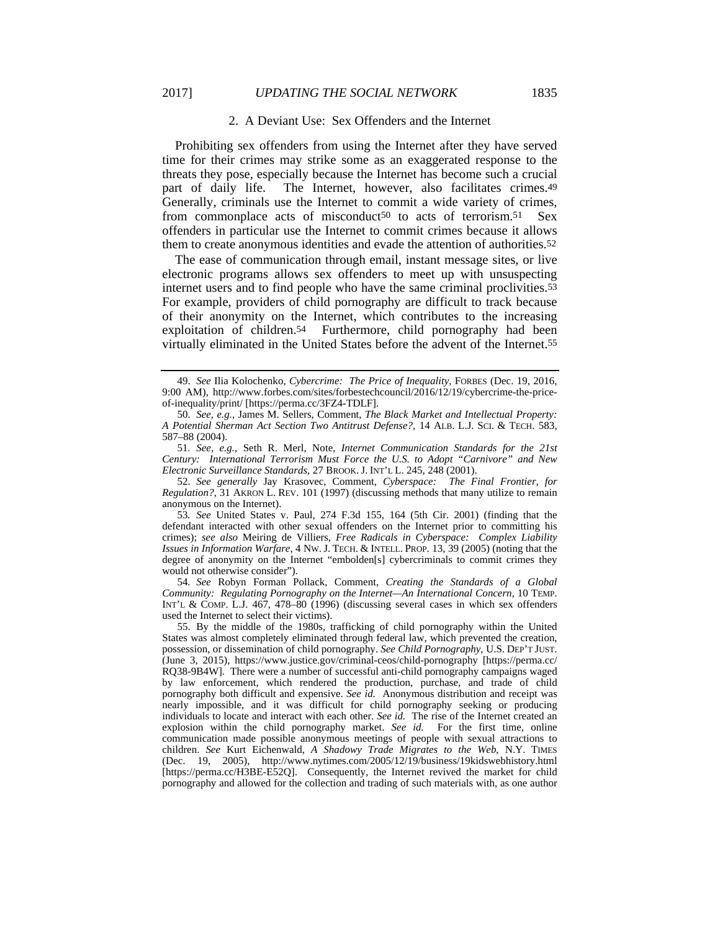# 2017] *UPDATING THE SOCIAL NETWORK* 1835

#### 2. A Deviant Use: Sex Offenders and the Internet

Prohibiting sex offenders from using the Internet after they have served time for their crimes may strike some as an exaggerated response to the threats they pose, especially because the Internet has become such a crucial part of daily life. The Internet, however, also facilitates crimes.<sup>49</sup> Generally, criminals use the Internet to commit a wide variety of crimes, from commonplace acts of misconduct50 to acts of terrorism.51 Sex offenders in particular use the Internet to commit crimes because it allows them to create anonymous identities and evade the attention of authorities.52

The ease of communication through email, instant message sites, or live electronic programs allows sex offenders to meet up with unsuspecting internet users and to find people who have the same criminal proclivities.53 For example, providers of child pornography are difficult to track because of their anonymity on the Internet, which contributes to the increasing exploitation of children.54 Furthermore, child pornography had been virtually eliminated in the United States before the advent of the Internet.55

51*. See, e.g.*, Seth R. Merl, Note, *Internet Communication Standards for the 21st Century: International Terrorism Must Force the U.S. to Adopt "Carnivore" and New Electronic Surveillance Standards*, 27 BROOK. J. INT'L L. 245, 248 (2001).

52. *See generally* Jay Krasovec, Comment, *Cyberspace: The Final Frontier, for Regulation?*, 31 AKRON L. REV. 101 (1997) (discussing methods that many utilize to remain anonymous on the Internet).

53*. See* United States v. Paul, 274 F.3d 155, 164 (5th Cir. 2001) (finding that the defendant interacted with other sexual offenders on the Internet prior to committing his crimes); *see also* Meiring de Villiers, *Free Radicals in Cyberspace: Complex Liability Issues in Information Warfare*, 4 NW. J. TECH. & INTELL. PROP. 13, 39 (2005) (noting that the degree of anonymity on the Internet "embolden[s] cybercriminals to commit crimes they would not otherwise consider").

54*. See* Robyn Forman Pollack, Comment, *Creating the Standards of a Global Community: Regulating Pornography on the Internet—An International Concern*, 10 TEMP. INT'L & COMP. L.J. 467, 478–80 (1996) (discussing several cases in which sex offenders used the Internet to select their victims).

 55. By the middle of the 1980s, trafficking of child pornography within the United States was almost completely eliminated through federal law, which prevented the creation, possession, or dissemination of child pornography. *See Child Pornography*, U.S. DEP'T JUST. (June 3, 2015), https://www.justice.gov/criminal-ceos/child-pornography [https://perma.cc/ RQ38-9B4W]. There were a number of successful anti-child pornography campaigns waged by law enforcement, which rendered the production, purchase, and trade of child pornography both difficult and expensive. *See id.* Anonymous distribution and receipt was nearly impossible, and it was difficult for child pornography seeking or producing individuals to locate and interact with each other. *See id.* The rise of the Internet created an explosion within the child pornography market. *See id.* For the first time, online communication made possible anonymous meetings of people with sexual attractions to children. *See* Kurt Eichenwald, *A Shadowy Trade Migrates to the Web*, N.Y. TIMES (Dec. 19, 2005), http://www.nytimes.com/2005/12/19/business/19kidswebhistory.html [https://perma.cc/H3BE-E52Q]. Consequently, the Internet revived the market for child pornography and allowed for the collection and trading of such materials with, as one author

 <sup>49.</sup> *See* Ilia Kolochenko, *Cybercrime: The Price of Inequality*, FORBES (Dec. 19, 2016, 9:00 AM), http://www.forbes.com/sites/forbestechcouncil/2016/12/19/cybercrime-the-priceof-inequality/print/ [https://perma.cc/3FZ4-TDLF].

<sup>50.</sup> *See, e.g.*, James M. Sellers, Comment, *The Black Market and Intellectual Property: A Potential Sherman Act Section Two Antitrust Defense?*, 14 ALB. L.J. SCI. & TECH. 583, 587–88 (2004).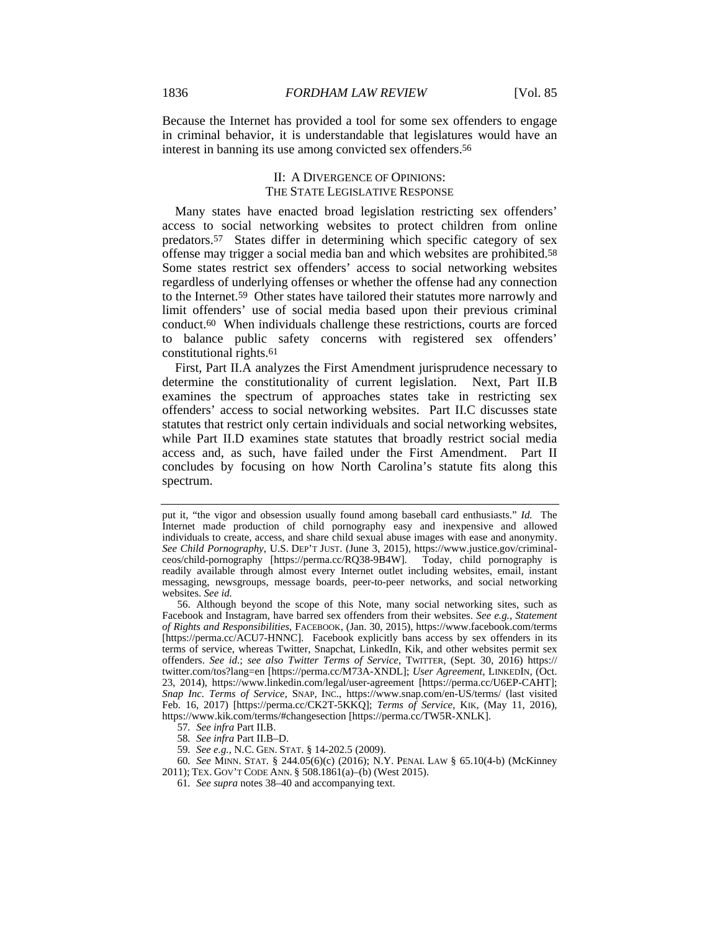Because the Internet has provided a tool for some sex offenders to engage in criminal behavior, it is understandable that legislatures would have an interest in banning its use among convicted sex offenders.56

# II: A DIVERGENCE OF OPINIONS: THE STATE LEGISLATIVE RESPONSE

Many states have enacted broad legislation restricting sex offenders' access to social networking websites to protect children from online predators.57 States differ in determining which specific category of sex offense may trigger a social media ban and which websites are prohibited.58 Some states restrict sex offenders' access to social networking websites regardless of underlying offenses or whether the offense had any connection to the Internet.59 Other states have tailored their statutes more narrowly and limit offenders' use of social media based upon their previous criminal conduct.60 When individuals challenge these restrictions, courts are forced to balance public safety concerns with registered sex offenders' constitutional rights.61

First, Part II.A analyzes the First Amendment jurisprudence necessary to determine the constitutionality of current legislation. Next, Part II.B examines the spectrum of approaches states take in restricting sex offenders' access to social networking websites. Part II.C discusses state statutes that restrict only certain individuals and social networking websites, while Part II.D examines state statutes that broadly restrict social media access and, as such, have failed under the First Amendment. Part II concludes by focusing on how North Carolina's statute fits along this spectrum.

60*. See* MINN. STAT. § 244.05(6)(c) (2016); N.Y. PENAL LAW § 65.10(4-b) (McKinney 2011); TEX. GOV'T CODE ANN. § 508.1861(a)–(b) (West 2015).

put it, "the vigor and obsession usually found among baseball card enthusiasts." *Id.* The Internet made production of child pornography easy and inexpensive and allowed individuals to create, access, and share child sexual abuse images with ease and anonymity. *See Child Pornography*, U.S. DEP'T JUST. (June 3, 2015), https://www.justice.gov/criminalceos/child-pornography [https://perma.cc/RQ38-9B4W]. Today, child pornography is readily available through almost every Internet outlet including websites, email, instant messaging, newsgroups, message boards, peer-to-peer networks, and social networking websites. *See id.*

 <sup>56.</sup> Although beyond the scope of this Note, many social networking sites, such as Facebook and Instagram, have barred sex offenders from their websites. *See e.g.*, *Statement of Rights and Responsibilities*, FACEBOOK, (Jan. 30, 2015), https://www.facebook.com/terms [https://perma.cc/ACU7-HNNC]. Facebook explicitly bans access by sex offenders in its terms of service, whereas Twitter, Snapchat, LinkedIn, Kik, and other websites permit sex offenders. *See id*.; *see also Twitter Terms of Service*, TWITTER, (Sept. 30, 2016) https:// twitter.com/tos?lang=en [https://perma.cc/M73A-XNDL]; *User Agreement*, LINKEDIN, (Oct. 23, 2014), https://www.linkedin.com/legal/user-agreement [https://perma.cc/U6EP-CAHT]; *Snap Inc. Terms of Service*, SNAP, INC., https://www.snap.com/en-US/terms/ (last visited Feb. 16, 2017) [https://perma.cc/CK2T-5KKQ]; *Terms of Service*, KIK, (May 11, 2016), https://www.kik.com/terms/#changesection [https://perma.cc/TW5R-XNLK].

<sup>57</sup>*. See infra* Part II.B.

<sup>58</sup>*. See infra* Part II.B–D.

<sup>59</sup>*. See e.g.*, N.C. GEN. STAT. § 14-202.5 (2009).

<sup>61</sup>*. See supra* notes 38–40 and accompanying text.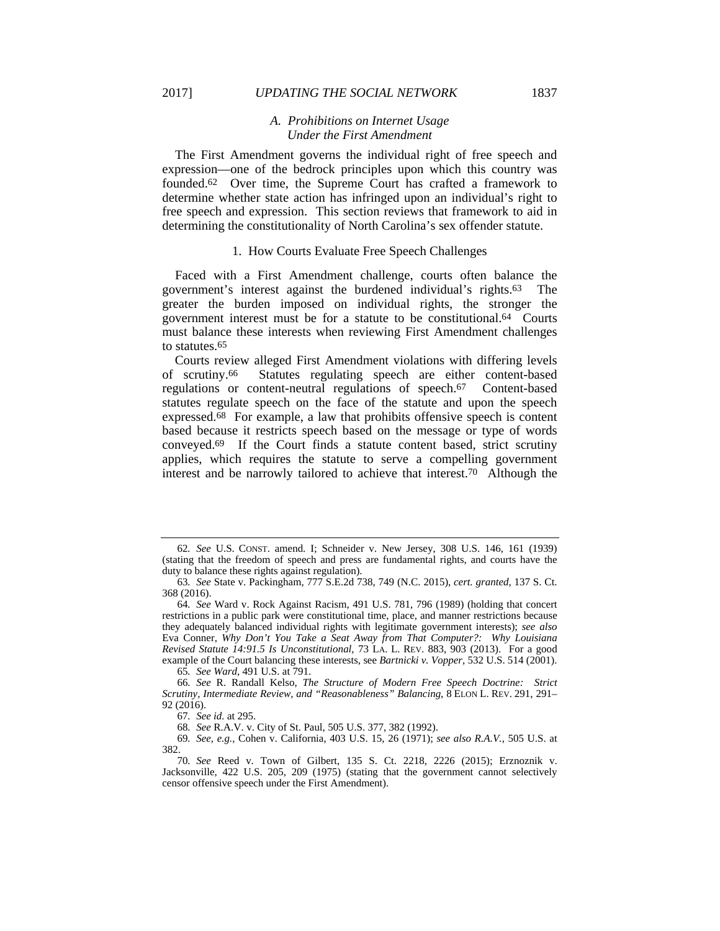# *A. Prohibitions on Internet Usage Under the First Amendment*

The First Amendment governs the individual right of free speech and expression—one of the bedrock principles upon which this country was founded.62 Over time, the Supreme Court has crafted a framework to determine whether state action has infringed upon an individual's right to free speech and expression. This section reviews that framework to aid in determining the constitutionality of North Carolina's sex offender statute.

#### 1. How Courts Evaluate Free Speech Challenges

Faced with a First Amendment challenge, courts often balance the government's interest against the burdened individual's rights.63 The greater the burden imposed on individual rights, the stronger the government interest must be for a statute to be constitutional.64 Courts must balance these interests when reviewing First Amendment challenges to statutes.65

Courts review alleged First Amendment violations with differing levels of scrutiny.66 Statutes regulating speech are either content-based regulations or content-neutral regulations of speech.67 Content-based statutes regulate speech on the face of the statute and upon the speech expressed.68 For example, a law that prohibits offensive speech is content based because it restricts speech based on the message or type of words conveyed.69 If the Court finds a statute content based, strict scrutiny applies, which requires the statute to serve a compelling government interest and be narrowly tailored to achieve that interest.70 Although the

65*. See Ward*, 491 U.S. at 791.

66*. See* R. Randall Kelso, *The Structure of Modern Free Speech Doctrine: Strict Scrutiny, Intermediate Review, and "Reasonableness" Balancing*, 8 ELON L. REV. 291, 291– 92 (2016).

<sup>62</sup>*. See* U.S. CONST. amend. I; Schneider v. New Jersey, 308 U.S. 146, 161 (1939) (stating that the freedom of speech and press are fundamental rights, and courts have the duty to balance these rights against regulation).

<sup>63</sup>*. See* State v. Packingham, 777 S.E.2d 738, 749 (N.C. 2015), *cert. granted*, 137 S. Ct. 368 (2016).

<sup>64</sup>*. See* Ward v. Rock Against Racism, 491 U.S. 781, 796 (1989) (holding that concert restrictions in a public park were constitutional time, place, and manner restrictions because they adequately balanced individual rights with legitimate government interests); *see also* Eva Conner, *Why Don't You Take a Seat Away from That Computer?: Why Louisiana Revised Statute 14:91.5 Is Unconstitutional*, 73 LA. L. REV. 883, 903 (2013). For a good example of the Court balancing these interests, see *Bartnicki v. Vopper*, 532 U.S. 514 (2001).

<sup>67</sup>*. See id.* at 295.

<sup>68</sup>*. See* R.A.V. v. City of St. Paul, 505 U.S. 377, 382 (1992).

<sup>69</sup>*. See, e.g.*, Cohen v. California, 403 U.S. 15, 26 (1971); *see also R.A.V.*, 505 U.S. at 382.

<sup>70</sup>*. See* Reed v. Town of Gilbert, 135 S. Ct. 2218, 2226 (2015); Erznoznik v. Jacksonville, 422 U.S. 205, 209 (1975) (stating that the government cannot selectively censor offensive speech under the First Amendment).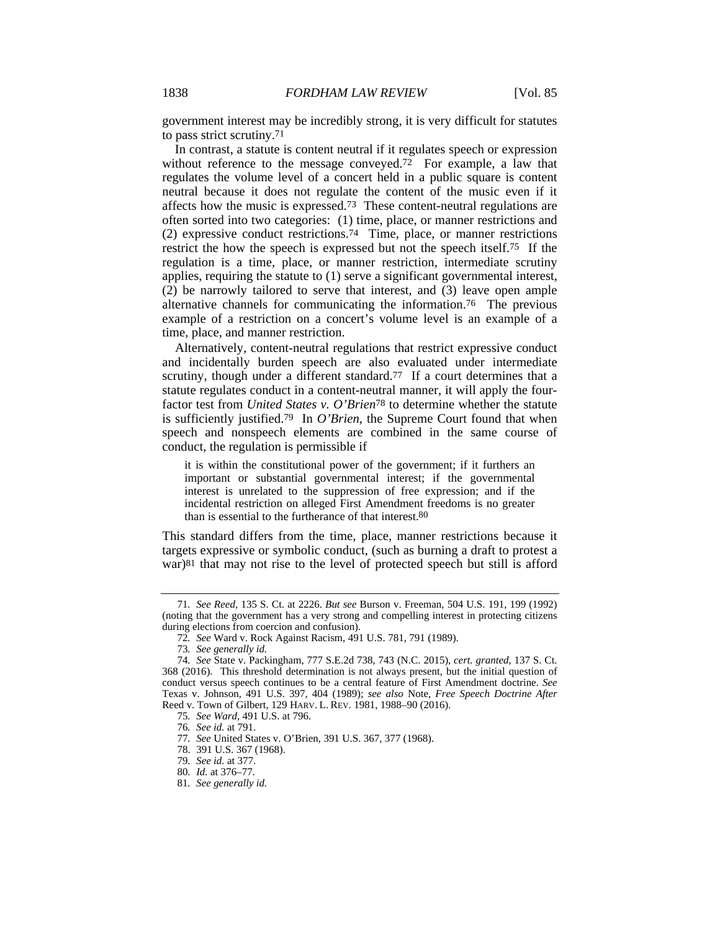government interest may be incredibly strong, it is very difficult for statutes to pass strict scrutiny.71

In contrast, a statute is content neutral if it regulates speech or expression without reference to the message conveyed.72 For example, a law that regulates the volume level of a concert held in a public square is content neutral because it does not regulate the content of the music even if it affects how the music is expressed.73 These content-neutral regulations are often sorted into two categories: (1) time, place, or manner restrictions and (2) expressive conduct restrictions.74 Time, place, or manner restrictions restrict the how the speech is expressed but not the speech itself.75 If the regulation is a time, place, or manner restriction, intermediate scrutiny applies, requiring the statute to (1) serve a significant governmental interest, (2) be narrowly tailored to serve that interest, and (3) leave open ample alternative channels for communicating the information.76 The previous example of a restriction on a concert's volume level is an example of a time, place, and manner restriction.

Alternatively, content-neutral regulations that restrict expressive conduct and incidentally burden speech are also evaluated under intermediate scrutiny, though under a different standard.<sup>77</sup> If a court determines that a statute regulates conduct in a content-neutral manner, it will apply the fourfactor test from *United States v. O'Brien*78 to determine whether the statute is sufficiently justified.79 In *O'Brien*, the Supreme Court found that when speech and nonspeech elements are combined in the same course of conduct, the regulation is permissible if

it is within the constitutional power of the government; if it furthers an important or substantial governmental interest; if the governmental interest is unrelated to the suppression of free expression; and if the incidental restriction on alleged First Amendment freedoms is no greater than is essential to the furtherance of that interest.80

This standard differs from the time, place, manner restrictions because it targets expressive or symbolic conduct, (such as burning a draft to protest a war)81 that may not rise to the level of protected speech but still is afford

<sup>71</sup>*. See Reed*, 135 S. Ct. at 2226. *But see* Burson v. Freeman, 504 U.S. 191, 199 (1992) (noting that the government has a very strong and compelling interest in protecting citizens during elections from coercion and confusion).

<sup>72</sup>*. See* Ward v. Rock Against Racism, 491 U.S. 781, 791 (1989).

<sup>73</sup>*. See generally id.*

<sup>74</sup>*. See* State v. Packingham, 777 S.E.2d 738, 743 (N.C. 2015), *cert. granted*, 137 S. Ct. 368 (2016). This threshold determination is not always present, but the initial question of conduct versus speech continues to be a central feature of First Amendment doctrine. *See* Texas v. Johnson, 491 U.S. 397, 404 (1989); *see also* Note, *Free Speech Doctrine After*  Reed v. Town of Gilbert, 129 HARV. L. REV. 1981, 1988–90 (2016).

<sup>75</sup>*. See Ward*, 491 U.S. at 796.

<sup>76</sup>*. See id.* at 791.

<sup>77</sup>*. See* United States v. O'Brien, 391 U.S. 367, 377 (1968).

 <sup>78. 391</sup> U.S. 367 (1968).

<sup>79</sup>*. See id.* at 377.

<sup>80</sup>*. Id.* at 376–77.

<sup>81</sup>*. See generally id.*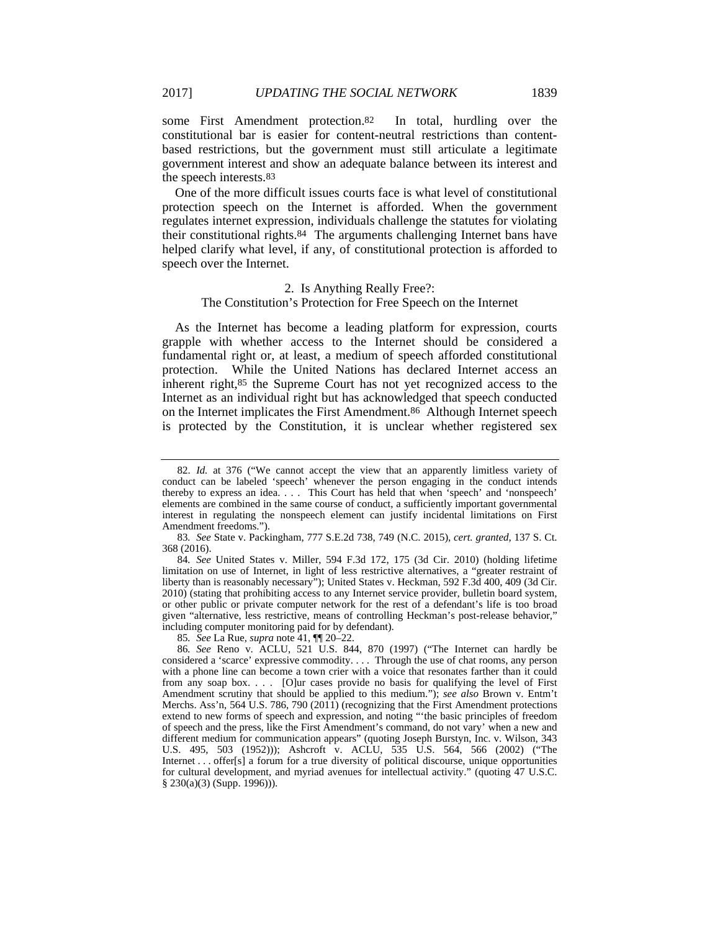some First Amendment protection.82 In total, hurdling over the constitutional bar is easier for content-neutral restrictions than contentbased restrictions, but the government must still articulate a legitimate government interest and show an adequate balance between its interest and the speech interests.83

One of the more difficult issues courts face is what level of constitutional protection speech on the Internet is afforded. When the government regulates internet expression, individuals challenge the statutes for violating their constitutional rights.84 The arguments challenging Internet bans have helped clarify what level, if any, of constitutional protection is afforded to speech over the Internet.

#### 2. Is Anything Really Free?:

#### The Constitution's Protection for Free Speech on the Internet

As the Internet has become a leading platform for expression, courts grapple with whether access to the Internet should be considered a fundamental right or, at least, a medium of speech afforded constitutional protection. While the United Nations has declared Internet access an inherent right,85 the Supreme Court has not yet recognized access to the Internet as an individual right but has acknowledged that speech conducted on the Internet implicates the First Amendment.86 Although Internet speech is protected by the Constitution, it is unclear whether registered sex

85*. See* La Rue, *supra* note 41, ¶¶ 20–22.

 <sup>82.</sup> *Id.* at 376 ("We cannot accept the view that an apparently limitless variety of conduct can be labeled 'speech' whenever the person engaging in the conduct intends thereby to express an idea. . . . This Court has held that when 'speech' and 'nonspeech' elements are combined in the same course of conduct, a sufficiently important governmental interest in regulating the nonspeech element can justify incidental limitations on First Amendment freedoms.").

<sup>83</sup>*. See* State v. Packingham, 777 S.E.2d 738, 749 (N.C. 2015), *cert. granted*, 137 S. Ct. 368 (2016).

<sup>84</sup>*. See* United States v. Miller, 594 F.3d 172, 175 (3d Cir. 2010) (holding lifetime limitation on use of Internet, in light of less restrictive alternatives, a "greater restraint of liberty than is reasonably necessary"); United States v. Heckman, 592 F.3d 400, 409 (3d Cir. 2010) (stating that prohibiting access to any Internet service provider, bulletin board system, or other public or private computer network for the rest of a defendant's life is too broad given "alternative, less restrictive, means of controlling Heckman's post-release behavior," including computer monitoring paid for by defendant).

<sup>86</sup>*. See* Reno v. ACLU, 521 U.S. 844, 870 (1997) ("The Internet can hardly be considered a 'scarce' expressive commodity. . . . Through the use of chat rooms, any person with a phone line can become a town crier with a voice that resonates farther than it could from any soap box. . . . [O]ur cases provide no basis for qualifying the level of First Amendment scrutiny that should be applied to this medium."); *see also* Brown v. Entm't Merchs. Ass'n, 564 U.S. 786, 790 (2011) (recognizing that the First Amendment protections extend to new forms of speech and expression, and noting "'the basic principles of freedom of speech and the press, like the First Amendment's command, do not vary' when a new and different medium for communication appears" (quoting Joseph Burstyn, Inc. v. Wilson, 343 U.S. 495, 503 (1952))); Ashcroft v. ACLU, 535 U.S. 564, 566 (2002) ("The Internet . . . offer[s] a forum for a true diversity of political discourse, unique opportunities for cultural development, and myriad avenues for intellectual activity." (quoting 47 U.S.C. § 230(a)(3) (Supp. 1996))).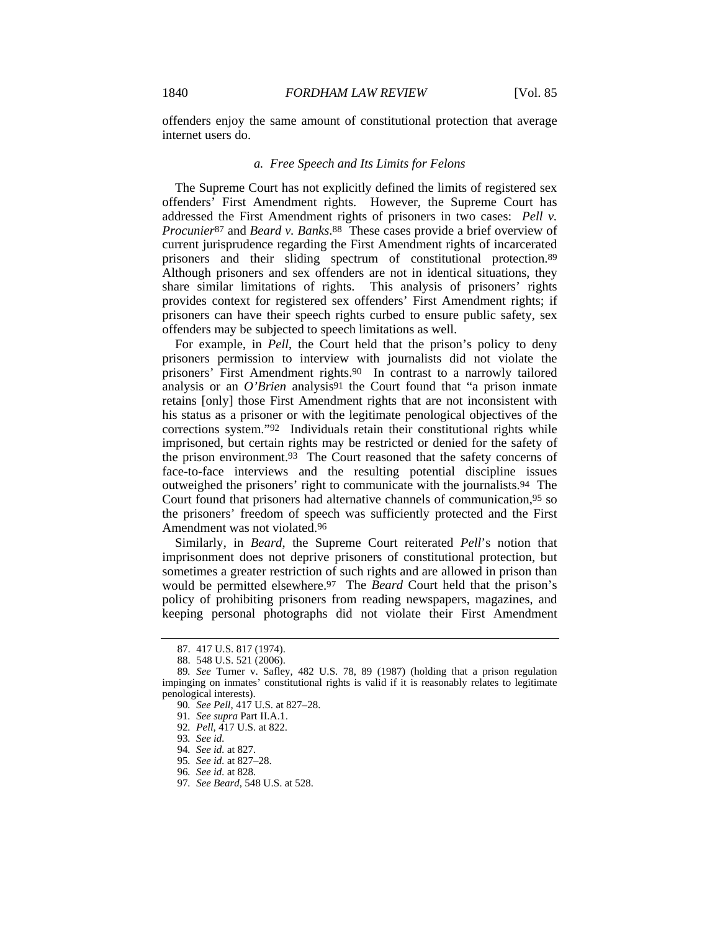offenders enjoy the same amount of constitutional protection that average internet users do.

#### *a. Free Speech and Its Limits for Felons*

The Supreme Court has not explicitly defined the limits of registered sex offenders' First Amendment rights. However, the Supreme Court has addressed the First Amendment rights of prisoners in two cases: *Pell v. Procunier*87 and *Beard v. Banks*.88 These cases provide a brief overview of current jurisprudence regarding the First Amendment rights of incarcerated prisoners and their sliding spectrum of constitutional protection.89 Although prisoners and sex offenders are not in identical situations, they share similar limitations of rights. This analysis of prisoners' rights provides context for registered sex offenders' First Amendment rights; if prisoners can have their speech rights curbed to ensure public safety, sex offenders may be subjected to speech limitations as well.

For example, in *Pell*, the Court held that the prison's policy to deny prisoners permission to interview with journalists did not violate the prisoners' First Amendment rights.90 In contrast to a narrowly tailored analysis or an *O'Brien* analysis91 the Court found that "a prison inmate retains [only] those First Amendment rights that are not inconsistent with his status as a prisoner or with the legitimate penological objectives of the corrections system."92 Individuals retain their constitutional rights while imprisoned, but certain rights may be restricted or denied for the safety of the prison environment.93 The Court reasoned that the safety concerns of face-to-face interviews and the resulting potential discipline issues outweighed the prisoners' right to communicate with the journalists.94 The Court found that prisoners had alternative channels of communication,95 so the prisoners' freedom of speech was sufficiently protected and the First Amendment was not violated.96

Similarly, in *Beard*, the Supreme Court reiterated *Pell*'s notion that imprisonment does not deprive prisoners of constitutional protection, but sometimes a greater restriction of such rights and are allowed in prison than would be permitted elsewhere.97 The *Beard* Court held that the prison's policy of prohibiting prisoners from reading newspapers, magazines, and keeping personal photographs did not violate their First Amendment

97*. See Beard*, 548 U.S. at 528.

 <sup>87. 417</sup> U.S. 817 (1974).

 <sup>88. 548</sup> U.S. 521 (2006).

<sup>89</sup>*. See* Turner v. Safley, 482 U.S. 78, 89 (1987) (holding that a prison regulation impinging on inmates' constitutional rights is valid if it is reasonably relates to legitimate penological interests).

<sup>90</sup>*. See Pell*, 417 U.S. at 827–28.

<sup>91</sup>*. See supra* Part II.A.1.

<sup>92</sup>*. Pell*, 417 U.S. at 822.

<sup>93</sup>*. See id.*

<sup>94</sup>*. See id.* at 827.

<sup>95</sup>*. See id.* at 827–28.

<sup>96</sup>*. See id.* at 828.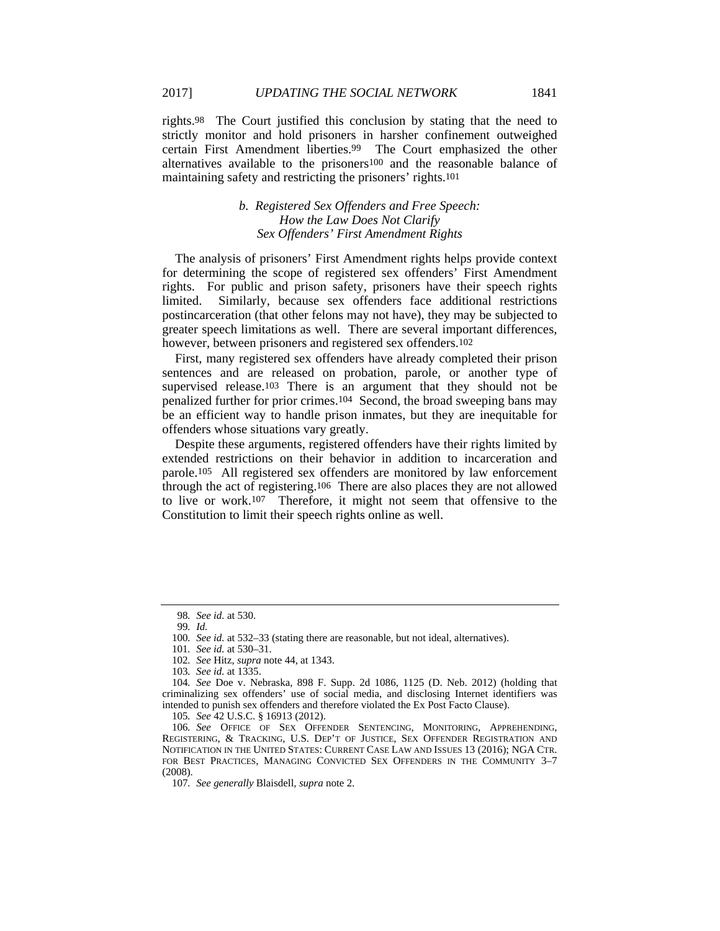rights.98 The Court justified this conclusion by stating that the need to strictly monitor and hold prisoners in harsher confinement outweighed certain First Amendment liberties.99 The Court emphasized the other alternatives available to the prisoners100 and the reasonable balance of maintaining safety and restricting the prisoners' rights.101

# *b. Registered Sex Offenders and Free Speech: How the Law Does Not Clarify Sex Offenders' First Amendment Rights*

The analysis of prisoners' First Amendment rights helps provide context for determining the scope of registered sex offenders' First Amendment rights. For public and prison safety, prisoners have their speech rights limited. Similarly, because sex offenders face additional restrictions postincarceration (that other felons may not have), they may be subjected to greater speech limitations as well. There are several important differences, however, between prisoners and registered sex offenders.102

First, many registered sex offenders have already completed their prison sentences and are released on probation, parole, or another type of supervised release.<sup>103</sup> There is an argument that they should not be penalized further for prior crimes.104 Second, the broad sweeping bans may be an efficient way to handle prison inmates, but they are inequitable for offenders whose situations vary greatly.

Despite these arguments, registered offenders have their rights limited by extended restrictions on their behavior in addition to incarceration and parole.105 All registered sex offenders are monitored by law enforcement through the act of registering.106 There are also places they are not allowed to live or work.107 Therefore, it might not seem that offensive to the Constitution to limit their speech rights online as well.

105*. See* 42 U.S.C. § 16913 (2012).

<sup>98</sup>*. See id.* at 530.

<sup>99</sup>*. Id.*

<sup>100</sup>*. See id.* at 532–33 (stating there are reasonable, but not ideal, alternatives).

<sup>101</sup>*. See id.* at 530–31.

<sup>102</sup>*. See* Hitz, *supra* note 44, at 1343.

<sup>103</sup>*. See id.* at 1335.

<sup>104</sup>*. See* Doe v. Nebraska, 898 F. Supp. 2d 1086, 1125 (D. Neb. 2012) (holding that criminalizing sex offenders' use of social media, and disclosing Internet identifiers was intended to punish sex offenders and therefore violated the Ex Post Facto Clause).

<sup>106</sup>*. See* OFFICE OF SEX OFFENDER SENTENCING, MONITORING, APPREHENDING, REGISTERING, & TRACKING, U.S. DEP'T OF JUSTICE, SEX OFFENDER REGISTRATION AND NOTIFICATION IN THE UNITED STATES: CURRENT CASE LAW AND ISSUES 13 (2016); NGA CTR. FOR BEST PRACTICES, MANAGING CONVICTED SEX OFFENDERS IN THE COMMUNITY 3-7 (2008).

<sup>107</sup>*. See generally* Blaisdell, *supra* note 2.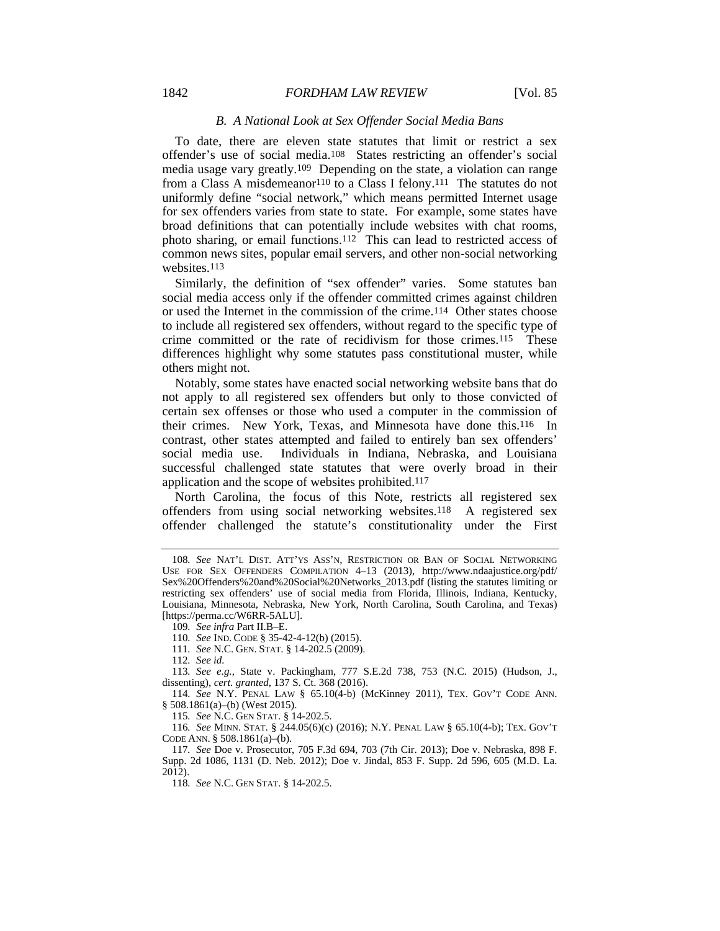#### 1842 *FORDHAM LAW REVIEW* [Vol. 85]

#### *B. A National Look at Sex Offender Social Media Bans*

To date, there are eleven state statutes that limit or restrict a sex offender's use of social media.108 States restricting an offender's social media usage vary greatly.109 Depending on the state, a violation can range from a Class A misdemeanor<sup>110</sup> to a Class I felony.<sup>111</sup> The statutes do not uniformly define "social network," which means permitted Internet usage for sex offenders varies from state to state. For example, some states have broad definitions that can potentially include websites with chat rooms, photo sharing, or email functions.112 This can lead to restricted access of common news sites, popular email servers, and other non-social networking websites.113

Similarly, the definition of "sex offender" varies. Some statutes ban social media access only if the offender committed crimes against children or used the Internet in the commission of the crime.114 Other states choose to include all registered sex offenders, without regard to the specific type of crime committed or the rate of recidivism for those crimes.115 These differences highlight why some statutes pass constitutional muster, while others might not.

Notably, some states have enacted social networking website bans that do not apply to all registered sex offenders but only to those convicted of certain sex offenses or those who used a computer in the commission of their crimes. New York, Texas, and Minnesota have done this.116 In contrast, other states attempted and failed to entirely ban sex offenders' Individuals in Indiana, Nebraska, and Louisiana successful challenged state statutes that were overly broad in their application and the scope of websites prohibited.117

North Carolina, the focus of this Note, restricts all registered sex offenders from using social networking websites.118 A registered sex offender challenged the statute's constitutionality under the First

112*. See id.*

113*. See e.g.*, State v. Packingham, 777 S.E.2d 738, 753 (N.C. 2015) (Hudson, J., dissenting), *cert. granted*, 137 S. Ct. 368 (2016).

114*. See* N.Y. PENAL LAW § 65.10(4-b) (McKinney 2011), TEX. GOV'T CODE ANN. § 508.1861(a)–(b) (West 2015).

115*. See* N.C. GEN STAT. § 14-202.5.

116*. See* MINN. STAT. § 244.05(6)(c) (2016); N.Y. PENAL LAW § 65.10(4-b); TEX. GOV'T CODE ANN. § 508.1861(a)–(b).

117*. See* Doe v. Prosecutor, 705 F.3d 694, 703 (7th Cir. 2013); Doe v. Nebraska, 898 F. Supp. 2d 1086, 1131 (D. Neb. 2012); Doe v. Jindal, 853 F. Supp. 2d 596, 605 (M.D. La. 2012).

118*. See* N.C. GEN STAT. § 14-202.5.

<sup>108</sup>*. See* NAT'L DIST. ATT'YS ASS'N, RESTRICTION OR BAN OF SOCIAL NETWORKING USE FOR SEX OFFENDERS COMPILATION 4–13 (2013), http://www.ndaajustice.org/pdf/ Sex%20Offenders%20and%20Social%20Networks\_2013.pdf (listing the statutes limiting or restricting sex offenders' use of social media from Florida, Illinois, Indiana, Kentucky, Louisiana, Minnesota, Nebraska, New York, North Carolina, South Carolina, and Texas) [https://perma.cc/W6RR-5ALU].

<sup>109</sup>*. See infra* Part II.B–E.

<sup>110</sup>*. See* IND. CODE § 35-42-4-12(b) (2015).

<sup>111</sup>*. See* N.C. GEN. STAT. § 14-202.5 (2009).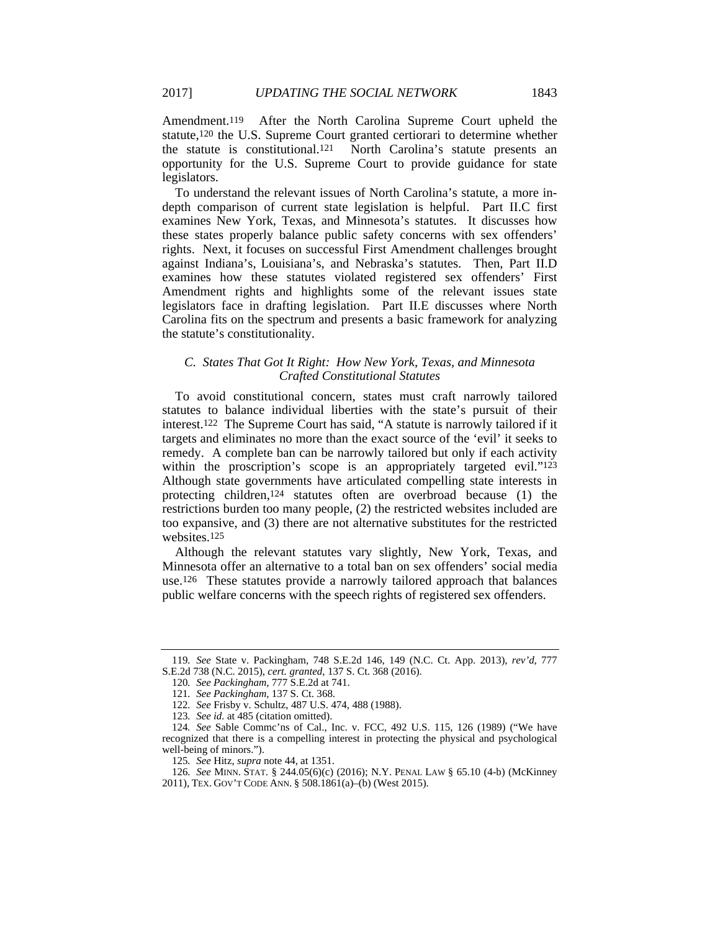Amendment.119 After the North Carolina Supreme Court upheld the statute,120 the U.S. Supreme Court granted certiorari to determine whether the statute is constitutional.121 North Carolina's statute presents an opportunity for the U.S. Supreme Court to provide guidance for state legislators.

To understand the relevant issues of North Carolina's statute, a more indepth comparison of current state legislation is helpful. Part II.C first examines New York, Texas, and Minnesota's statutes. It discusses how these states properly balance public safety concerns with sex offenders' rights. Next, it focuses on successful First Amendment challenges brought against Indiana's, Louisiana's, and Nebraska's statutes. Then, Part II.D examines how these statutes violated registered sex offenders' First Amendment rights and highlights some of the relevant issues state legislators face in drafting legislation. Part II.E discusses where North Carolina fits on the spectrum and presents a basic framework for analyzing the statute's constitutionality.

# *C. States That Got It Right: How New York, Texas, and Minnesota Crafted Constitutional Statutes*

To avoid constitutional concern, states must craft narrowly tailored statutes to balance individual liberties with the state's pursuit of their interest.122 The Supreme Court has said, "A statute is narrowly tailored if it targets and eliminates no more than the exact source of the 'evil' it seeks to remedy. A complete ban can be narrowly tailored but only if each activity within the proscription's scope is an appropriately targeted evil."<sup>123</sup> Although state governments have articulated compelling state interests in protecting children,124 statutes often are overbroad because (1) the restrictions burden too many people, (2) the restricted websites included are too expansive, and (3) there are not alternative substitutes for the restricted websites.125

Although the relevant statutes vary slightly, New York, Texas, and Minnesota offer an alternative to a total ban on sex offenders' social media use.126 These statutes provide a narrowly tailored approach that balances public welfare concerns with the speech rights of registered sex offenders.

<sup>119</sup>*. See* State v. Packingham, 748 S.E.2d 146, 149 (N.C. Ct. App. 2013), *rev'd*, 777 S.E.2d 738 (N.C. 2015), *cert. granted*, 137 S. Ct. 368 (2016).

<sup>120</sup>*. See Packingham*, 777 S.E.2d at 741.

<sup>121</sup>*. See Packingham*, 137 S. Ct. 368.

<sup>122</sup>*. See* Frisby v. Schultz, 487 U.S. 474, 488 (1988).

<sup>123</sup>*. See id.* at 485 (citation omitted).

<sup>124</sup>*. See* Sable Commc'ns of Cal., Inc. v. FCC, 492 U.S. 115, 126 (1989) ("We have recognized that there is a compelling interest in protecting the physical and psychological well-being of minors.").

<sup>125</sup>*. See* Hitz, *supra* note 44, at 1351.

<sup>126</sup>*. See* MINN. STAT. § 244.05(6)(c) (2016); N.Y. PENAL LAW § 65.10 (4-b) (McKinney 2011), TEX. GOV'T CODE ANN. § 508.1861(a)–(b) (West 2015).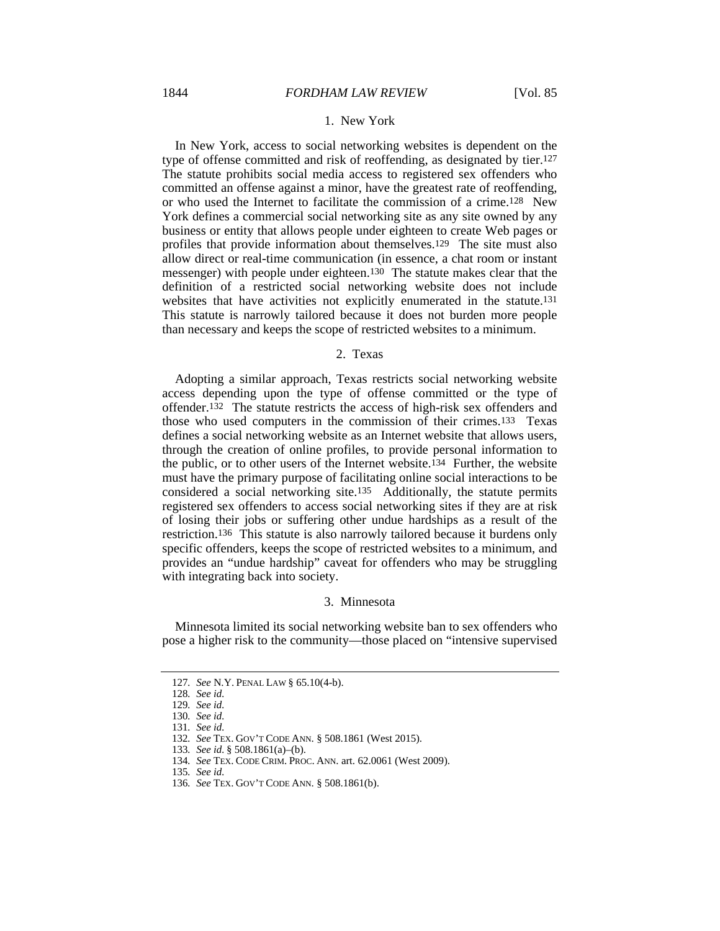#### 1. New York

In New York, access to social networking websites is dependent on the type of offense committed and risk of reoffending, as designated by tier.127 The statute prohibits social media access to registered sex offenders who committed an offense against a minor, have the greatest rate of reoffending, or who used the Internet to facilitate the commission of a crime.128 New York defines a commercial social networking site as any site owned by any business or entity that allows people under eighteen to create Web pages or profiles that provide information about themselves.129 The site must also allow direct or real-time communication (in essence, a chat room or instant messenger) with people under eighteen.130 The statute makes clear that the definition of a restricted social networking website does not include websites that have activities not explicitly enumerated in the statute.131 This statute is narrowly tailored because it does not burden more people than necessary and keeps the scope of restricted websites to a minimum.

#### 2. Texas

Adopting a similar approach, Texas restricts social networking website access depending upon the type of offense committed or the type of offender.132 The statute restricts the access of high-risk sex offenders and those who used computers in the commission of their crimes.133 Texas defines a social networking website as an Internet website that allows users, through the creation of online profiles, to provide personal information to the public, or to other users of the Internet website.134 Further, the website must have the primary purpose of facilitating online social interactions to be considered a social networking site.135 Additionally, the statute permits registered sex offenders to access social networking sites if they are at risk of losing their jobs or suffering other undue hardships as a result of the restriction.136 This statute is also narrowly tailored because it burdens only specific offenders, keeps the scope of restricted websites to a minimum, and provides an "undue hardship" caveat for offenders who may be struggling with integrating back into society.

#### 3. Minnesota

Minnesota limited its social networking website ban to sex offenders who pose a higher risk to the community—those placed on "intensive supervised

<sup>127</sup>*. See* N.Y. PENAL LAW § 65.10(4-b).

<sup>128</sup>*. See id.*

<sup>129</sup>*. See id.*

<sup>130</sup>*. See id.*

<sup>131</sup>*. See id.*

<sup>132</sup>*. See* TEX. GOV'T CODE ANN. § 508.1861 (West 2015).

<sup>133</sup>*. See id.* § 508.1861(a)–(b).

<sup>134</sup>*. See* TEX. CODE CRIM. PROC. ANN. art. 62.0061 (West 2009).

<sup>135</sup>*. See id.*

<sup>136</sup>*. See* TEX. GOV'T CODE ANN. § 508.1861(b).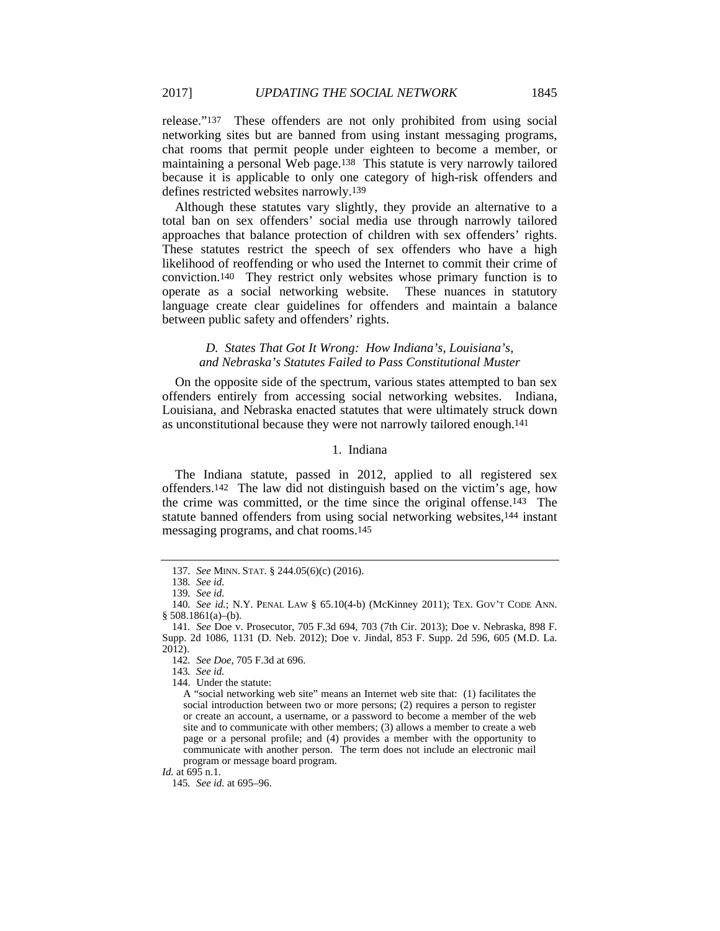release."137 These offenders are not only prohibited from using social networking sites but are banned from using instant messaging programs, chat rooms that permit people under eighteen to become a member, or maintaining a personal Web page.138 This statute is very narrowly tailored because it is applicable to only one category of high-risk offenders and defines restricted websites narrowly.139

Although these statutes vary slightly, they provide an alternative to a total ban on sex offenders' social media use through narrowly tailored approaches that balance protection of children with sex offenders' rights. These statutes restrict the speech of sex offenders who have a high likelihood of reoffending or who used the Internet to commit their crime of conviction.140 They restrict only websites whose primary function is to operate as a social networking website. These nuances in statutory language create clear guidelines for offenders and maintain a balance between public safety and offenders' rights.

# *D. States That Got It Wrong: How Indiana's, Louisiana's, and Nebraska's Statutes Failed to Pass Constitutional Muster*

On the opposite side of the spectrum, various states attempted to ban sex offenders entirely from accessing social networking websites. Indiana, Louisiana, and Nebraska enacted statutes that were ultimately struck down as unconstitutional because they were not narrowly tailored enough.141

# 1. Indiana

The Indiana statute, passed in 2012, applied to all registered sex offenders.142 The law did not distinguish based on the victim's age, how the crime was committed, or the time since the original offense.143 The statute banned offenders from using social networking websites,<sup>144</sup> instant messaging programs, and chat rooms.145

<sup>137</sup>*. See* MINN. STAT. § 244.05(6)(c) (2016).

<sup>138</sup>*. See id.*

<sup>139</sup>*. See id.*

<sup>140</sup>*. See id.*; N.Y. PENAL LAW § 65.10(4-b) (McKinney 2011); TEX. GOV'T CODE ANN. § 508.1861(a)–(b).

<sup>141</sup>*. See* Doe v. Prosecutor, 705 F.3d 694, 703 (7th Cir. 2013); Doe v. Nebraska, 898 F. Supp. 2d 1086, 1131 (D. Neb. 2012); Doe v. Jindal, 853 F. Supp. 2d 596, 605 (M.D. La. 2012).

<sup>142</sup>*. See Doe*, 705 F.3d at 696.

<sup>143</sup>*. See id.*

 <sup>144.</sup> Under the statute:

A "social networking web site" means an Internet web site that: (1) facilitates the social introduction between two or more persons; (2) requires a person to register or create an account, a username, or a password to become a member of the web site and to communicate with other members; (3) allows a member to create a web page or a personal profile; and (4) provides a member with the opportunity to communicate with another person. The term does not include an electronic mail program or message board program.

*Id.* at 695 n.1.

<sup>145</sup>*. See id.* at 695–96.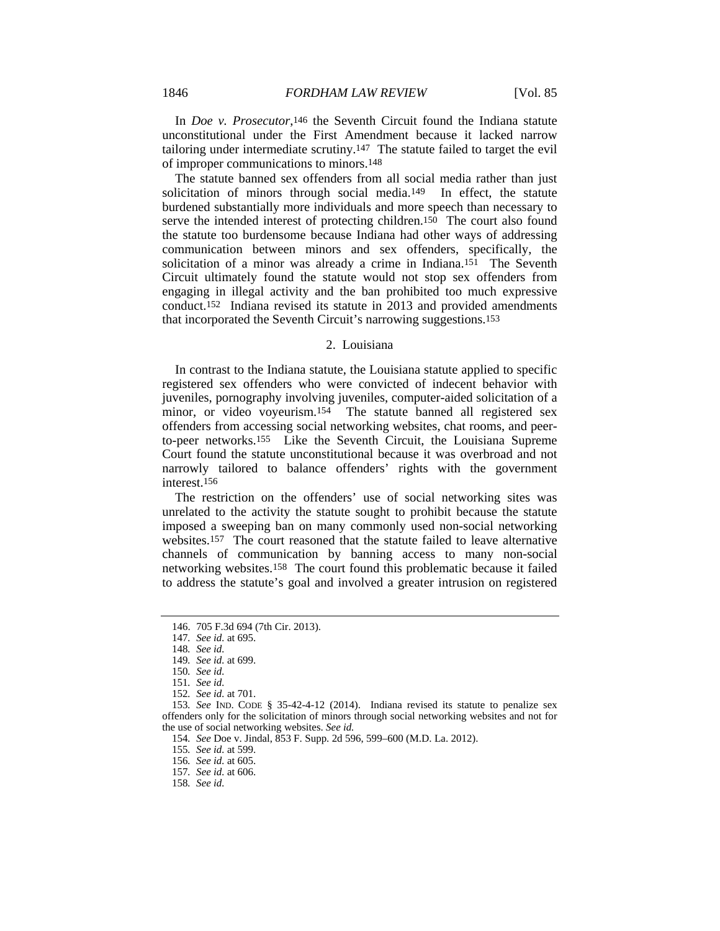In *Doe v. Prosecutor*,146 the Seventh Circuit found the Indiana statute unconstitutional under the First Amendment because it lacked narrow tailoring under intermediate scrutiny.147 The statute failed to target the evil of improper communications to minors.148

The statute banned sex offenders from all social media rather than just solicitation of minors through social media.149 In effect, the statute burdened substantially more individuals and more speech than necessary to serve the intended interest of protecting children.150 The court also found the statute too burdensome because Indiana had other ways of addressing communication between minors and sex offenders, specifically, the solicitation of a minor was already a crime in Indiana.151 The Seventh Circuit ultimately found the statute would not stop sex offenders from engaging in illegal activity and the ban prohibited too much expressive conduct.152 Indiana revised its statute in 2013 and provided amendments that incorporated the Seventh Circuit's narrowing suggestions.153

#### 2. Louisiana

In contrast to the Indiana statute, the Louisiana statute applied to specific registered sex offenders who were convicted of indecent behavior with juveniles, pornography involving juveniles, computer-aided solicitation of a minor, or video voyeurism.154 The statute banned all registered sex offenders from accessing social networking websites, chat rooms, and peerto-peer networks.155 Like the Seventh Circuit, the Louisiana Supreme Court found the statute unconstitutional because it was overbroad and not narrowly tailored to balance offenders' rights with the government interest.156

The restriction on the offenders' use of social networking sites was unrelated to the activity the statute sought to prohibit because the statute imposed a sweeping ban on many commonly used non-social networking websites.157 The court reasoned that the statute failed to leave alternative channels of communication by banning access to many non-social networking websites.158 The court found this problematic because it failed to address the statute's goal and involved a greater intrusion on registered

 <sup>146. 705</sup> F.3d 694 (7th Cir. 2013).

<sup>147</sup>*. See id.* at 695.

<sup>148</sup>*. See id.*

<sup>149</sup>*. See id.* at 699.

<sup>150</sup>*. See id.*

<sup>151</sup>*. See id.*

<sup>152</sup>*. See id.* at 701.

<sup>153</sup>*. See* IND. CODE § 35-42-4-12 (2014). Indiana revised its statute to penalize sex offenders only for the solicitation of minors through social networking websites and not for the use of social networking websites. *See id.*

<sup>154</sup>*. See* Doe v. Jindal, 853 F. Supp. 2d 596, 599–600 (M.D. La. 2012).

<sup>155</sup>*. See id.* at 599.

<sup>156</sup>*. See id.* at 605.

<sup>157</sup>*. See id.* at 606.

<sup>158</sup>*. See id.*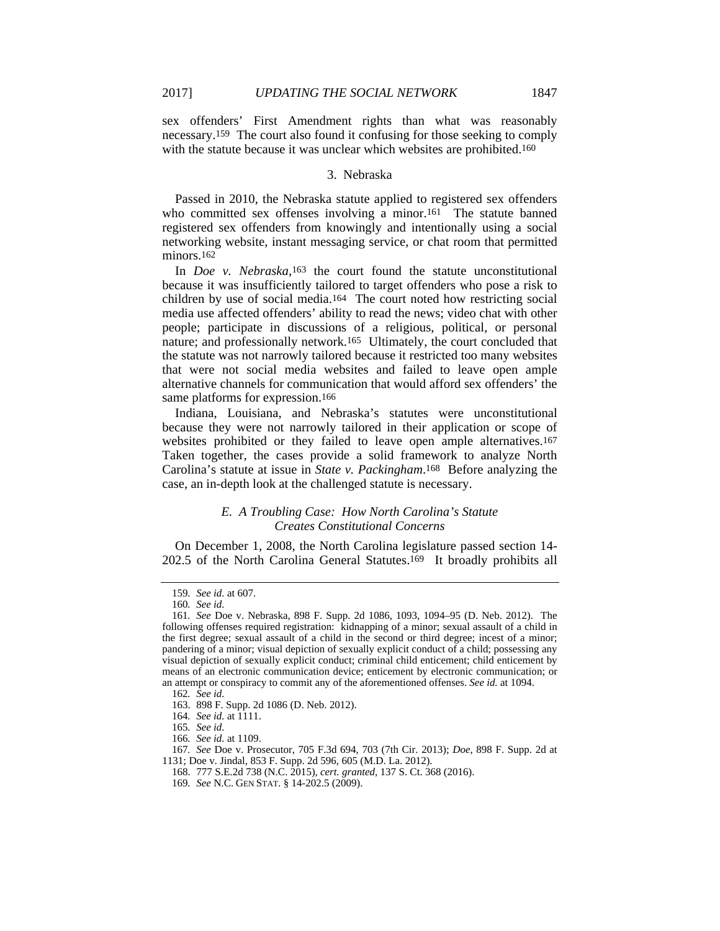sex offenders' First Amendment rights than what was reasonably necessary.159 The court also found it confusing for those seeking to comply with the statute because it was unclear which websites are prohibited.<sup>160</sup>

#### 3. Nebraska

Passed in 2010, the Nebraska statute applied to registered sex offenders who committed sex offenses involving a minor.<sup>161</sup> The statute banned registered sex offenders from knowingly and intentionally using a social networking website, instant messaging service, or chat room that permitted minors.<sup>162</sup>

In *Doe v. Nebraska*,163 the court found the statute unconstitutional because it was insufficiently tailored to target offenders who pose a risk to children by use of social media.164 The court noted how restricting social media use affected offenders' ability to read the news; video chat with other people; participate in discussions of a religious, political, or personal nature; and professionally network.165 Ultimately, the court concluded that the statute was not narrowly tailored because it restricted too many websites that were not social media websites and failed to leave open ample alternative channels for communication that would afford sex offenders' the same platforms for expression.166

Indiana, Louisiana, and Nebraska's statutes were unconstitutional because they were not narrowly tailored in their application or scope of websites prohibited or they failed to leave open ample alternatives.167 Taken together, the cases provide a solid framework to analyze North Carolina's statute at issue in *State v. Packingham*.168 Before analyzing the case, an in-depth look at the challenged statute is necessary.

# *E. A Troubling Case: How North Carolina's Statute Creates Constitutional Concerns*

On December 1, 2008, the North Carolina legislature passed section 14- 202.5 of the North Carolina General Statutes.169 It broadly prohibits all

<sup>159</sup>*. See id.* at 607.

<sup>160</sup>*. See id.*

<sup>161</sup>*. See* Doe v. Nebraska, 898 F. Supp. 2d 1086, 1093, 1094–95 (D. Neb. 2012). The following offenses required registration: kidnapping of a minor; sexual assault of a child in the first degree; sexual assault of a child in the second or third degree; incest of a minor; pandering of a minor; visual depiction of sexually explicit conduct of a child; possessing any visual depiction of sexually explicit conduct; criminal child enticement; child enticement by means of an electronic communication device; enticement by electronic communication; or an attempt or conspiracy to commit any of the aforementioned offenses. *See id.* at 1094.

<sup>162</sup>*. See id.*

 <sup>163. 898</sup> F. Supp. 2d 1086 (D. Neb. 2012).

<sup>164</sup>*. See id.* at 1111.

<sup>165</sup>*. See id.*

<sup>166</sup>*. See id.* at 1109.

<sup>167</sup>*. See* Doe v. Prosecutor, 705 F.3d 694, 703 (7th Cir. 2013); *Doe*, 898 F. Supp. 2d at 1131; Doe v. Jindal, 853 F. Supp. 2d 596, 605 (M.D. La. 2012).

 <sup>168. 777</sup> S.E.2d 738 (N.C. 2015), *cert. granted*, 137 S. Ct. 368 (2016).

<sup>169</sup>*. See* N.C. GEN STAT. § 14-202.5 (2009).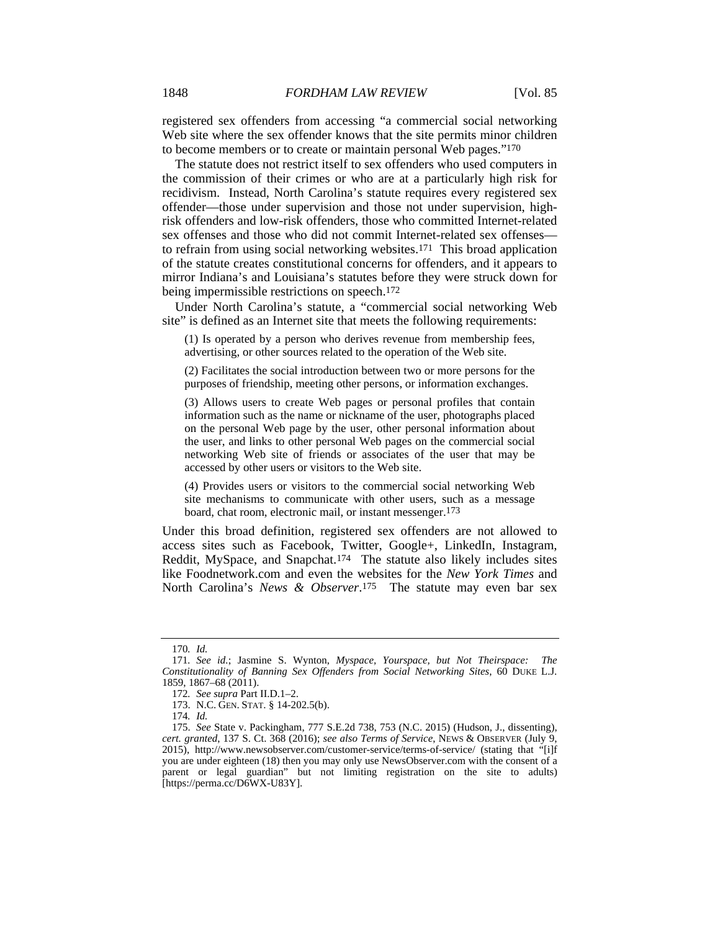registered sex offenders from accessing "a commercial social networking Web site where the sex offender knows that the site permits minor children to become members or to create or maintain personal Web pages."170

The statute does not restrict itself to sex offenders who used computers in the commission of their crimes or who are at a particularly high risk for recidivism. Instead, North Carolina's statute requires every registered sex offender—those under supervision and those not under supervision, highrisk offenders and low-risk offenders, those who committed Internet-related sex offenses and those who did not commit Internet-related sex offenses to refrain from using social networking websites.171 This broad application of the statute creates constitutional concerns for offenders, and it appears to mirror Indiana's and Louisiana's statutes before they were struck down for being impermissible restrictions on speech.172

Under North Carolina's statute, a "commercial social networking Web site" is defined as an Internet site that meets the following requirements:

(1) Is operated by a person who derives revenue from membership fees, advertising, or other sources related to the operation of the Web site.

(2) Facilitates the social introduction between two or more persons for the purposes of friendship, meeting other persons, or information exchanges.

(3) Allows users to create Web pages or personal profiles that contain information such as the name or nickname of the user, photographs placed on the personal Web page by the user, other personal information about the user, and links to other personal Web pages on the commercial social networking Web site of friends or associates of the user that may be accessed by other users or visitors to the Web site.

(4) Provides users or visitors to the commercial social networking Web site mechanisms to communicate with other users, such as a message board, chat room, electronic mail, or instant messenger.173

Under this broad definition, registered sex offenders are not allowed to access sites such as Facebook, Twitter, Google+, LinkedIn, Instagram, Reddit, MySpace, and Snapchat.174 The statute also likely includes sites like Foodnetwork.com and even the websites for the *New York Times* and North Carolina's *News & Observer*.175 The statute may even bar sex

<sup>170</sup>*. Id.*

<sup>171</sup>*. See id.*; Jasmine S. Wynton, *Myspace, Yourspace, but Not Theirspace: The Constitutionality of Banning Sex Offenders from Social Networking Sites*, 60 DUKE L.J. 1859, 1867–68 (2011).

<sup>172</sup>*. See supra* Part II.D.1–2.

 <sup>173.</sup> N.C. GEN. STAT. § 14-202.5(b).

<sup>174</sup>*. Id.*

<sup>175.</sup> *See* State v. Packingham, 777 S.E.2d 738, 753 (N.C. 2015) (Hudson, J., dissenting), *cert. granted*, 137 S. Ct. 368 (2016); *see also Terms of Service*, NEWS & OBSERVER (July 9, 2015), http://www.newsobserver.com/customer-service/terms-of-service/ (stating that "[i]f you are under eighteen (18) then you may only use NewsObserver.com with the consent of a parent or legal guardian" but not limiting registration on the site to adults) [https://perma.cc/D6WX-U83Y].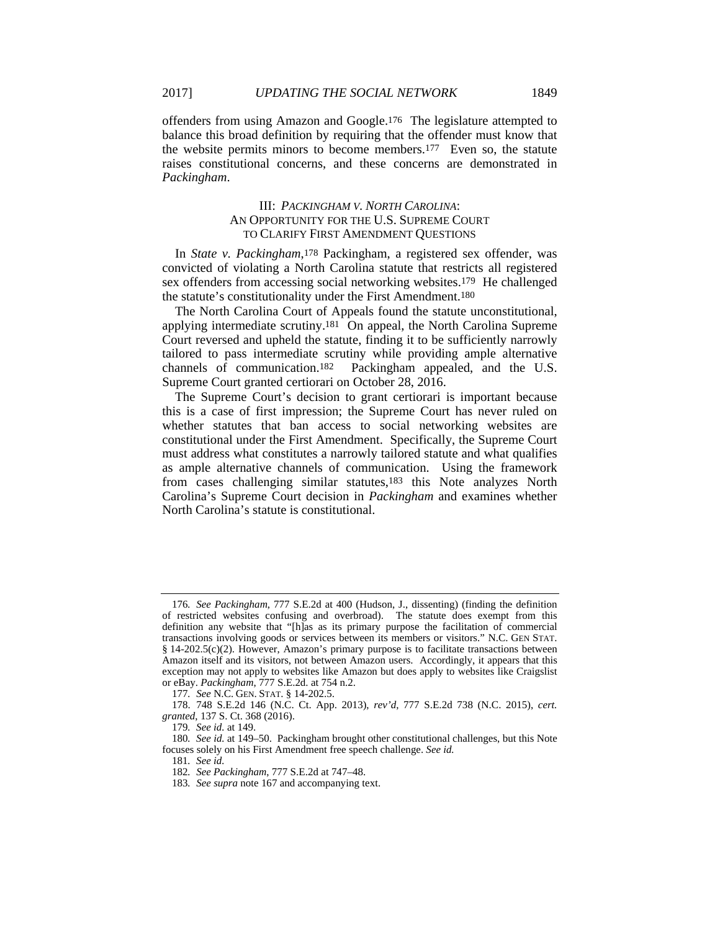offenders from using Amazon and Google.176 The legislature attempted to balance this broad definition by requiring that the offender must know that the website permits minors to become members.177 Even so, the statute raises constitutional concerns, and these concerns are demonstrated in *Packingham*.

# III: *PACKINGHAM V. NORTH CAROLINA*: AN OPPORTUNITY FOR THE U.S. SUPREME COURT TO CLARIFY FIRST AMENDMENT QUESTIONS

In *State v. Packingham*,178 Packingham, a registered sex offender, was convicted of violating a North Carolina statute that restricts all registered sex offenders from accessing social networking websites.179 He challenged the statute's constitutionality under the First Amendment.180

The North Carolina Court of Appeals found the statute unconstitutional, applying intermediate scrutiny.181 On appeal, the North Carolina Supreme Court reversed and upheld the statute, finding it to be sufficiently narrowly tailored to pass intermediate scrutiny while providing ample alternative channels of communication.<sup>182</sup> Packingham appealed, and the U.S. Packingham appealed, and the U.S. Supreme Court granted certiorari on October 28, 2016.

The Supreme Court's decision to grant certiorari is important because this is a case of first impression; the Supreme Court has never ruled on whether statutes that ban access to social networking websites are constitutional under the First Amendment. Specifically, the Supreme Court must address what constitutes a narrowly tailored statute and what qualifies as ample alternative channels of communication. Using the framework from cases challenging similar statutes,183 this Note analyzes North Carolina's Supreme Court decision in *Packingham* and examines whether North Carolina's statute is constitutional.

<sup>176</sup>*. See Packingham*, 777 S.E.2d at 400 (Hudson, J., dissenting) (finding the definition of restricted websites confusing and overbroad). The statute does exempt from this definition any website that "[h]as as its primary purpose the facilitation of commercial transactions involving goods or services between its members or visitors." N.C. GEN STAT. § 14-202.5(c)(2). However, Amazon's primary purpose is to facilitate transactions between Amazon itself and its visitors, not between Amazon users. Accordingly, it appears that this exception may not apply to websites like Amazon but does apply to websites like Craigslist or eBay. *Packingham*, 777 S.E.2d. at 754 n.2.

<sup>177</sup>*. See* N.C. GEN. STAT. § 14-202.5.

 <sup>178. 748</sup> S.E.2d 146 (N.C. Ct. App. 2013), *rev'd*, 777 S.E.2d 738 (N.C. 2015), *cert. granted*, 137 S. Ct. 368 (2016).

<sup>179</sup>*. See id.* at 149.

<sup>180</sup>*. See id.* at 149–50. Packingham brought other constitutional challenges, but this Note focuses solely on his First Amendment free speech challenge. *See id.*

<sup>181</sup>*. See id.*

<sup>182</sup>*. See Packingham*, 777 S.E.2d at 747–48.

<sup>183</sup>*. See supra* note 167 and accompanying text.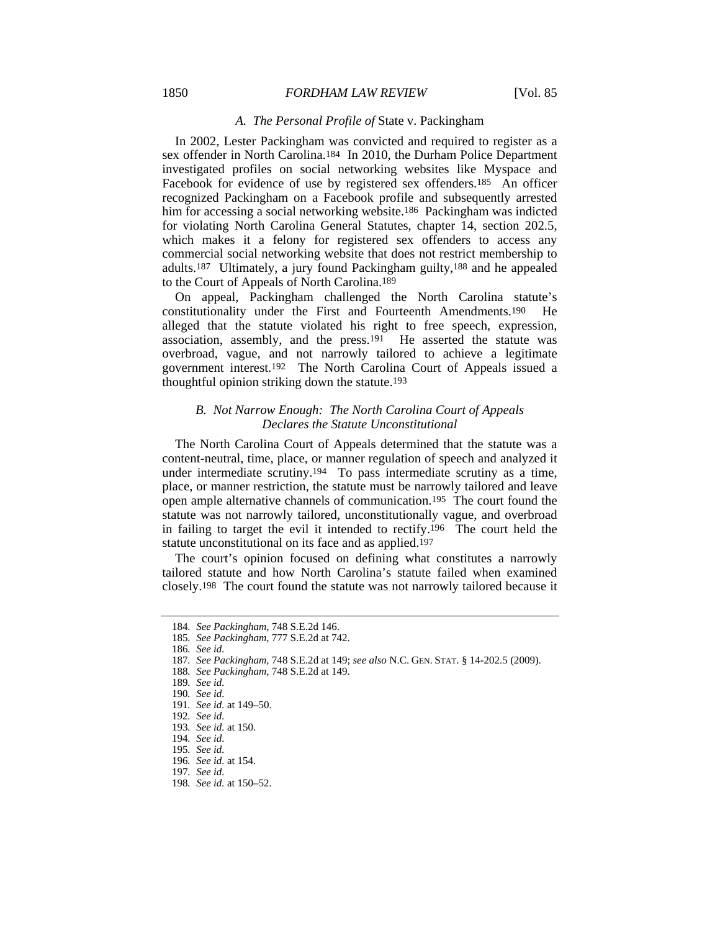#### 1850 *FORDHAM LAW REVIEW* [Vol. 85

#### *A. The Personal Profile of* State v. Packingham

In 2002, Lester Packingham was convicted and required to register as a sex offender in North Carolina.184 In 2010, the Durham Police Department investigated profiles on social networking websites like Myspace and Facebook for evidence of use by registered sex offenders.185 An officer recognized Packingham on a Facebook profile and subsequently arrested him for accessing a social networking website.<sup>186</sup> Packingham was indicted for violating North Carolina General Statutes, chapter 14, section 202.5, which makes it a felony for registered sex offenders to access any commercial social networking website that does not restrict membership to adults.187 Ultimately, a jury found Packingham guilty,188 and he appealed to the Court of Appeals of North Carolina.189

On appeal, Packingham challenged the North Carolina statute's constitutionality under the First and Fourteenth Amendments.190 He alleged that the statute violated his right to free speech, expression, association, assembly, and the press.191 He asserted the statute was overbroad, vague, and not narrowly tailored to achieve a legitimate government interest.192 The North Carolina Court of Appeals issued a thoughtful opinion striking down the statute.193

# *B. Not Narrow Enough: The North Carolina Court of Appeals Declares the Statute Unconstitutional*

The North Carolina Court of Appeals determined that the statute was a content-neutral, time, place, or manner regulation of speech and analyzed it under intermediate scrutiny.194 To pass intermediate scrutiny as a time, place, or manner restriction, the statute must be narrowly tailored and leave open ample alternative channels of communication.195 The court found the statute was not narrowly tailored, unconstitutionally vague, and overbroad in failing to target the evil it intended to rectify.196 The court held the statute unconstitutional on its face and as applied.197

The court's opinion focused on defining what constitutes a narrowly tailored statute and how North Carolina's statute failed when examined closely.198 The court found the statute was not narrowly tailored because it

187*. See Packingham*, 748 S.E.2d at 149; *see also* N.C. GEN. STAT. § 14-202.5 (2009).

188*. See Packingham*, 748 S.E.2d at 149.

<sup>184</sup>*. See Packingham*, 748 S.E.2d 146.

<sup>185</sup>*. See Packingham*, 777 S.E.2d at 742.

<sup>186</sup>*. See id.*

<sup>189</sup>*. See id.*

<sup>190</sup>*. See id.*

<sup>191</sup>*. See id.* at 149–50.

<sup>192</sup>*. See id.*

<sup>193</sup>*. See id.* at 150.

<sup>194</sup>*. See id.*

<sup>195</sup>*. See id.*

<sup>196</sup>*. See id.* at 154.

<sup>197</sup>*. See id.*

<sup>198</sup>*. See id.* at 150–52.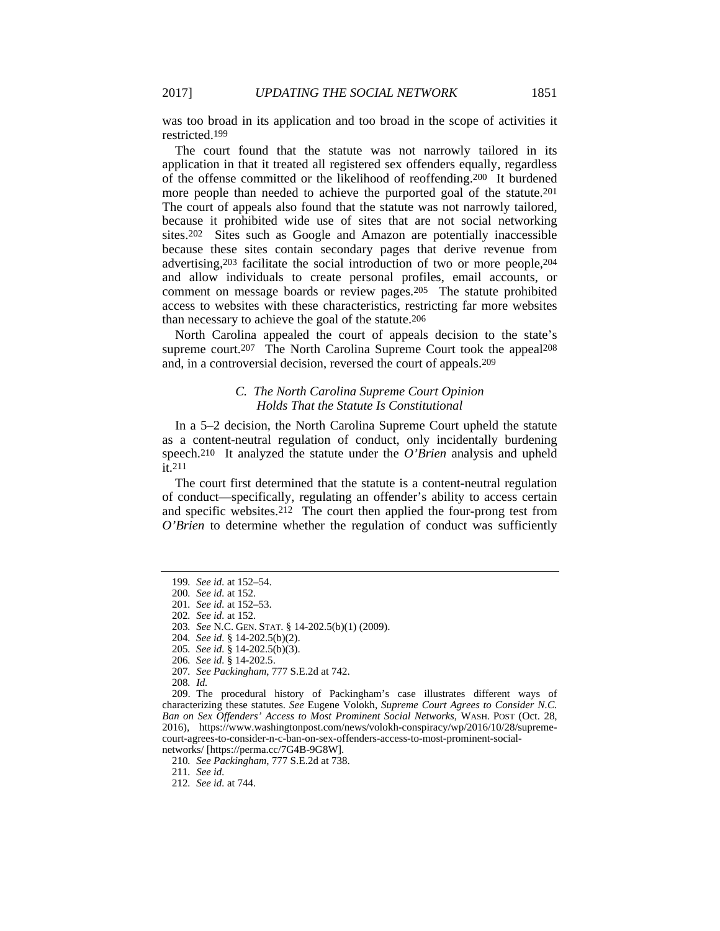was too broad in its application and too broad in the scope of activities it restricted.199

The court found that the statute was not narrowly tailored in its application in that it treated all registered sex offenders equally, regardless of the offense committed or the likelihood of reoffending.200 It burdened more people than needed to achieve the purported goal of the statute.201 The court of appeals also found that the statute was not narrowly tailored, because it prohibited wide use of sites that are not social networking sites.202 Sites such as Google and Amazon are potentially inaccessible because these sites contain secondary pages that derive revenue from advertising,203 facilitate the social introduction of two or more people,204 and allow individuals to create personal profiles, email accounts, or comment on message boards or review pages.205 The statute prohibited access to websites with these characteristics, restricting far more websites than necessary to achieve the goal of the statute.206

North Carolina appealed the court of appeals decision to the state's supreme court.<sup>207</sup> The North Carolina Supreme Court took the appeal<sup>208</sup> and, in a controversial decision, reversed the court of appeals.209

#### *C. The North Carolina Supreme Court Opinion Holds That the Statute Is Constitutional*

In a 5–2 decision, the North Carolina Supreme Court upheld the statute as a content-neutral regulation of conduct, only incidentally burdening speech.210 It analyzed the statute under the *O'Brien* analysis and upheld it.211

The court first determined that the statute is a content-neutral regulation of conduct—specifically, regulating an offender's ability to access certain and specific websites.212 The court then applied the four-prong test from *O'Brien* to determine whether the regulation of conduct was sufficiently

<sup>199</sup>*. See id.* at 152–54.

<sup>200</sup>*. See id.* at 152.

<sup>201</sup>*. See id.* at 152–53.

<sup>202</sup>*. See id.* at 152.

<sup>203</sup>*. See* N.C. GEN. STAT. § 14-202.5(b)(1) (2009).

<sup>204</sup>*. See id.* § 14-202.5(b)(2).

<sup>205</sup>*. See id.* § 14-202.5(b)(3).

<sup>206</sup>*. See id.* § 14-202.5.

<sup>207</sup>*. See Packingham*, 777 S.E.2d at 742.

<sup>208</sup>*. Id.*

 <sup>209.</sup> The procedural history of Packingham's case illustrates different ways of characterizing these statutes. *See* Eugene Volokh, *Supreme Court Agrees to Consider N.C. Ban on Sex Offenders' Access to Most Prominent Social Networks*, WASH. POST (Oct. 28, 2016), https://www.washingtonpost.com/news/volokh-conspiracy/wp/2016/10/28/supremecourt-agrees-to-consider-n-c-ban-on-sex-offenders-access-to-most-prominent-socialnetworks/ [https://perma.cc/7G4B-9G8W].

<sup>210</sup>*. See Packingham*, 777 S.E.2d at 738.

<sup>211</sup>*. See id.*

<sup>212</sup>*. See id.* at 744.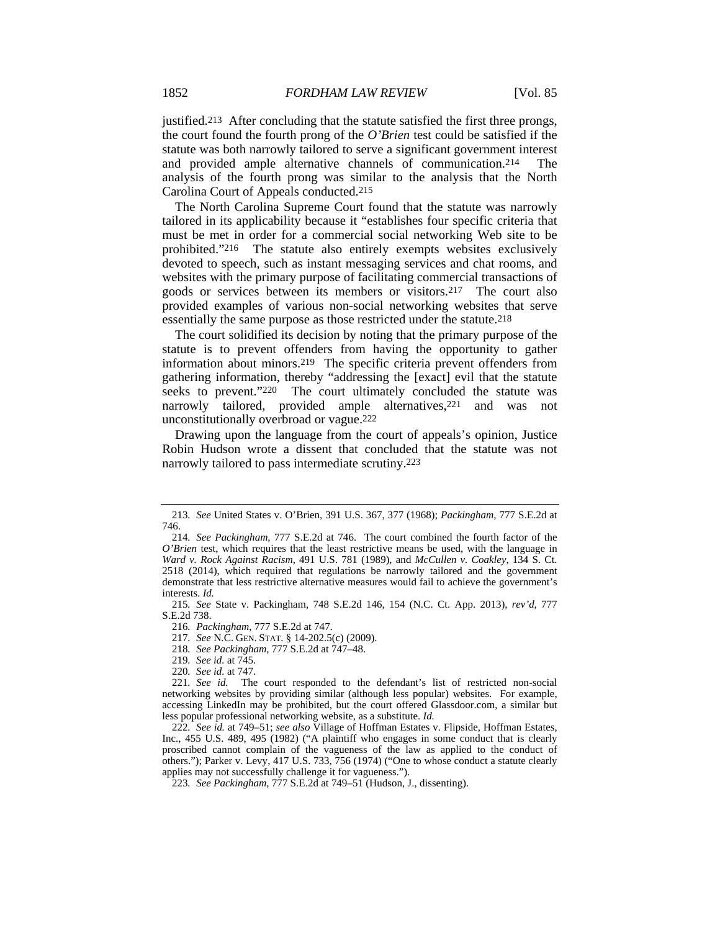justified.213 After concluding that the statute satisfied the first three prongs, the court found the fourth prong of the *O'Brien* test could be satisfied if the statute was both narrowly tailored to serve a significant government interest and provided ample alternative channels of communication.214 The analysis of the fourth prong was similar to the analysis that the North Carolina Court of Appeals conducted.215

The North Carolina Supreme Court found that the statute was narrowly tailored in its applicability because it "establishes four specific criteria that must be met in order for a commercial social networking Web site to be prohibited."216 The statute also entirely exempts websites exclusively devoted to speech, such as instant messaging services and chat rooms, and websites with the primary purpose of facilitating commercial transactions of goods or services between its members or visitors.217 The court also provided examples of various non-social networking websites that serve essentially the same purpose as those restricted under the statute.218

The court solidified its decision by noting that the primary purpose of the statute is to prevent offenders from having the opportunity to gather information about minors.219 The specific criteria prevent offenders from gathering information, thereby "addressing the [exact] evil that the statute seeks to prevent."220 The court ultimately concluded the statute was narrowly tailored, provided ample alternatives,<sup>221</sup> and was not unconstitutionally overbroad or vague.222

Drawing upon the language from the court of appeals's opinion, Justice Robin Hudson wrote a dissent that concluded that the statute was not narrowly tailored to pass intermediate scrutiny.223

- 217*. See* N.C. GEN. STAT. § 14-202.5(c) (2009).
- 218*. See Packingham*, 777 S.E.2d at 747–48.
- 219*. See id.* at 745.
- 220*. See id.* at 747.

<sup>213</sup>*. See* United States v. O'Brien, 391 U.S. 367, 377 (1968); *Packingham*, 777 S.E.2d at 746.

<sup>214</sup>*. See Packingham*, 777 S.E.2d at 746. The court combined the fourth factor of the *O'Brien* test, which requires that the least restrictive means be used, with the language in *Ward v. Rock Against Racism*, 491 U.S. 781 (1989), and *McCullen v. Coakley*, 134 S. Ct. 2518 (2014), which required that regulations be narrowly tailored and the government demonstrate that less restrictive alternative measures would fail to achieve the government's interests. *Id.*

<sup>215</sup>*. See* State v. Packingham, 748 S.E.2d 146, 154 (N.C. Ct. App. 2013), *rev'd*, 777 S.E.2d 738.

<sup>216</sup>*. Packingham*, 777 S.E.2d at 747.

<sup>221</sup>*. See id.* The court responded to the defendant's list of restricted non-social networking websites by providing similar (although less popular) websites. For example, accessing LinkedIn may be prohibited, but the court offered Glassdoor.com, a similar but less popular professional networking website, as a substitute. *Id.*

<sup>222</sup>*. See id.* at 749–51; *see also* Village of Hoffman Estates v. Flipside, Hoffman Estates, Inc., 455 U.S. 489, 495 (1982) ("A plaintiff who engages in some conduct that is clearly proscribed cannot complain of the vagueness of the law as applied to the conduct of others."); Parker v. Levy, 417 U.S. 733, 756 (1974) ("One to whose conduct a statute clearly applies may not successfully challenge it for vagueness.").

<sup>223</sup>*. See Packingham*, 777 S.E.2d at 749–51 (Hudson, J., dissenting).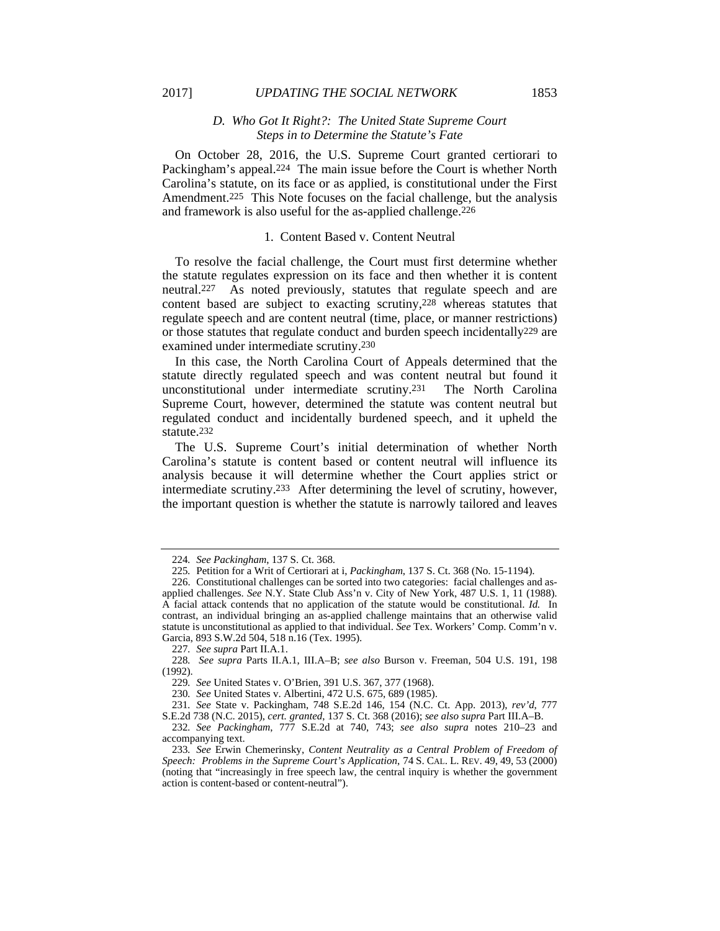# *D. Who Got It Right?: The United State Supreme Court Steps in to Determine the Statute's Fate*

On October 28, 2016, the U.S. Supreme Court granted certiorari to Packingham's appeal.224 The main issue before the Court is whether North Carolina's statute, on its face or as applied, is constitutional under the First Amendment.<sup>225</sup> This Note focuses on the facial challenge, but the analysis and framework is also useful for the as-applied challenge.226

### 1. Content Based v. Content Neutral

To resolve the facial challenge, the Court must first determine whether the statute regulates expression on its face and then whether it is content neutral.227 As noted previously, statutes that regulate speech and are content based are subject to exacting scrutiny,228 whereas statutes that regulate speech and are content neutral (time, place, or manner restrictions) or those statutes that regulate conduct and burden speech incidentally229 are examined under intermediate scrutiny.230

In this case, the North Carolina Court of Appeals determined that the statute directly regulated speech and was content neutral but found it unconstitutional under intermediate scrutiny.231 The North Carolina Supreme Court, however, determined the statute was content neutral but regulated conduct and incidentally burdened speech, and it upheld the statute.232

The U.S. Supreme Court's initial determination of whether North Carolina's statute is content based or content neutral will influence its analysis because it will determine whether the Court applies strict or intermediate scrutiny.233 After determining the level of scrutiny, however, the important question is whether the statute is narrowly tailored and leaves

<sup>224</sup>*. See Packingham*, 137 S. Ct. 368.

<sup>225</sup>*.* Petition for a Writ of Certiorari at i, *Packingham*, 137 S. Ct. 368 (No. 15-1194).

 <sup>226.</sup> Constitutional challenges can be sorted into two categories: facial challenges and asapplied challenges. *See* N.Y. State Club Ass'n v. City of New York, 487 U.S. 1, 11 (1988). A facial attack contends that no application of the statute would be constitutional. *Id.* In contrast, an individual bringing an as-applied challenge maintains that an otherwise valid statute is unconstitutional as applied to that individual. *See* Tex. Workers' Comp. Comm'n v. Garcia, 893 S.W.2d 504, 518 n.16 (Tex. 1995).

<sup>227</sup>*. See supra* Part II.A.1.

<sup>228</sup>*. See supra* Parts II.A.1, III.A–B; *see also* Burson v. Freeman, 504 U.S. 191, 198 (1992).

<sup>229</sup>*. See* United States v. O'Brien, 391 U.S. 367, 377 (1968).

<sup>230</sup>*. See* United States v. Albertini, 472 U.S. 675, 689 (1985).

<sup>231</sup>*. See* State v. Packingham, 748 S.E.2d 146, 154 (N.C. Ct. App. 2013), *rev'd*, 777

S.E.2d 738 (N.C. 2015), *cert. granted*, 137 S. Ct. 368 (2016); *see also supra* Part III.A–B. 232*. See Packingham*, 777 S.E.2d at 740, 743; *see also supra* notes 210–23 and accompanying text.

<sup>233</sup>*. See* Erwin Chemerinsky, *Content Neutrality as a Central Problem of Freedom of Speech: Problems in the Supreme Court's Application*, 74 S. CAL. L. REV. 49, 49, 53 (2000) (noting that "increasingly in free speech law, the central inquiry is whether the government action is content-based or content-neutral").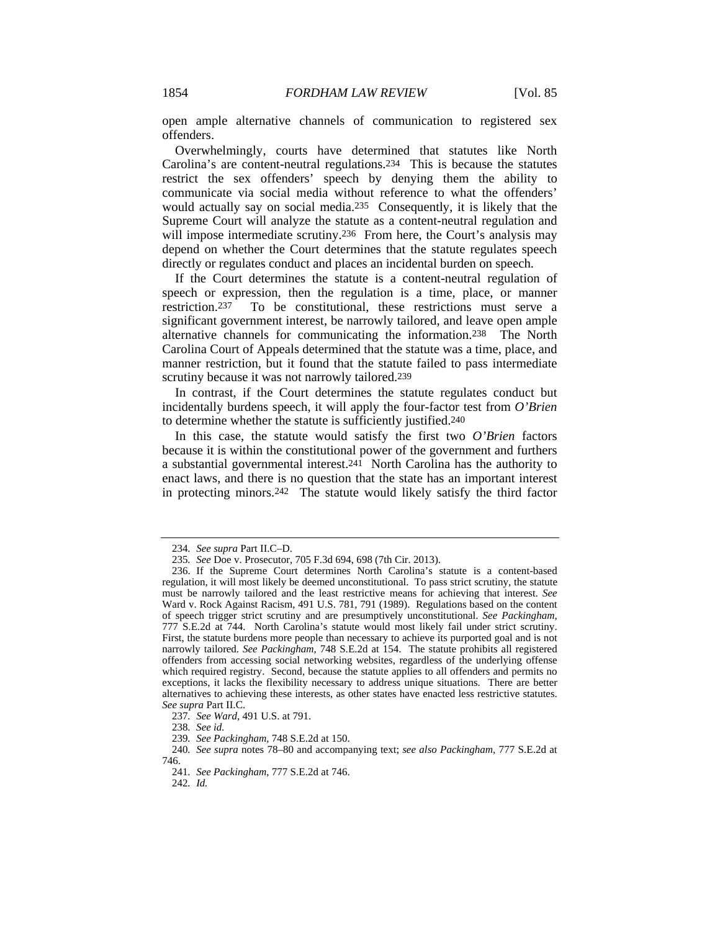open ample alternative channels of communication to registered sex offenders.

Overwhelmingly, courts have determined that statutes like North Carolina's are content-neutral regulations.234 This is because the statutes restrict the sex offenders' speech by denying them the ability to communicate via social media without reference to what the offenders' would actually say on social media.235 Consequently, it is likely that the Supreme Court will analyze the statute as a content-neutral regulation and will impose intermediate scrutiny.<sup>236</sup> From here, the Court's analysis may depend on whether the Court determines that the statute regulates speech directly or regulates conduct and places an incidental burden on speech.

If the Court determines the statute is a content-neutral regulation of speech or expression, then the regulation is a time, place, or manner restriction.237 To be constitutional, these restrictions must serve a significant government interest, be narrowly tailored, and leave open ample alternative channels for communicating the information.238 The North Carolina Court of Appeals determined that the statute was a time, place, and manner restriction, but it found that the statute failed to pass intermediate scrutiny because it was not narrowly tailored.<sup>239</sup>

In contrast, if the Court determines the statute regulates conduct but incidentally burdens speech, it will apply the four-factor test from *O'Brien* to determine whether the statute is sufficiently justified.240

In this case, the statute would satisfy the first two *O'Brien* factors because it is within the constitutional power of the government and furthers a substantial governmental interest.241 North Carolina has the authority to enact laws, and there is no question that the state has an important interest in protecting minors.242 The statute would likely satisfy the third factor

<sup>234</sup>*. See supra* Part II.C–D.

<sup>235</sup>*. See* Doe v. Prosecutor, 705 F.3d 694, 698 (7th Cir. 2013).

 <sup>236.</sup> If the Supreme Court determines North Carolina's statute is a content-based regulation, it will most likely be deemed unconstitutional. To pass strict scrutiny, the statute must be narrowly tailored and the least restrictive means for achieving that interest. *See* Ward v. Rock Against Racism, 491 U.S. 781, 791 (1989). Regulations based on the content of speech trigger strict scrutiny and are presumptively unconstitutional. *See Packingham*, 777 S.E.2d at 744. North Carolina's statute would most likely fail under strict scrutiny. First, the statute burdens more people than necessary to achieve its purported goal and is not narrowly tailored. *See Packingham*, 748 S.E.2d at 154. The statute prohibits all registered offenders from accessing social networking websites, regardless of the underlying offense which required registry. Second, because the statute applies to all offenders and permits no exceptions, it lacks the flexibility necessary to address unique situations. There are better alternatives to achieving these interests, as other states have enacted less restrictive statutes. *See supra* Part II.C.

<sup>237</sup>*. See Ward*, 491 U.S. at 791.

<sup>238</sup>*. See id.*

<sup>239</sup>*. See Packingham*, 748 S.E.2d at 150.

<sup>240</sup>*. See supra* notes 78–80 and accompanying text; *see also Packingham*, 777 S.E.2d at 746.

<sup>241</sup>*. See Packingham*, 777 S.E.2d at 746.

<sup>242</sup>*. Id.*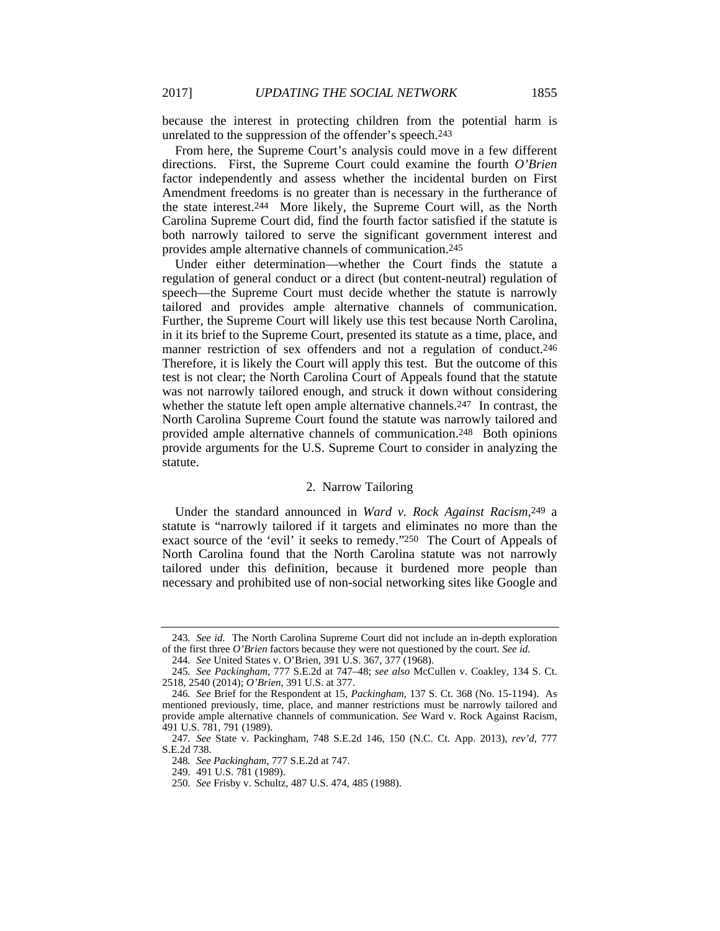because the interest in protecting children from the potential harm is unrelated to the suppression of the offender's speech.243

From here, the Supreme Court's analysis could move in a few different directions. First, the Supreme Court could examine the fourth *O'Brien* factor independently and assess whether the incidental burden on First Amendment freedoms is no greater than is necessary in the furtherance of the state interest.244 More likely, the Supreme Court will, as the North Carolina Supreme Court did, find the fourth factor satisfied if the statute is both narrowly tailored to serve the significant government interest and provides ample alternative channels of communication.245

Under either determination—whether the Court finds the statute a regulation of general conduct or a direct (but content-neutral) regulation of speech—the Supreme Court must decide whether the statute is narrowly tailored and provides ample alternative channels of communication. Further, the Supreme Court will likely use this test because North Carolina, in it its brief to the Supreme Court, presented its statute as a time, place, and manner restriction of sex offenders and not a regulation of conduct.246 Therefore, it is likely the Court will apply this test. But the outcome of this test is not clear; the North Carolina Court of Appeals found that the statute was not narrowly tailored enough, and struck it down without considering whether the statute left open ample alternative channels.<sup>247</sup> In contrast, the North Carolina Supreme Court found the statute was narrowly tailored and provided ample alternative channels of communication.248 Both opinions provide arguments for the U.S. Supreme Court to consider in analyzing the statute.

#### 2. Narrow Tailoring

Under the standard announced in *Ward v. Rock Against Racism*,249 a statute is "narrowly tailored if it targets and eliminates no more than the exact source of the 'evil' it seeks to remedy."250 The Court of Appeals of North Carolina found that the North Carolina statute was not narrowly tailored under this definition, because it burdened more people than necessary and prohibited use of non-social networking sites like Google and

<sup>243</sup>*. See id.* The North Carolina Supreme Court did not include an in-depth exploration of the first three *O'Brien* factors because they were not questioned by the court. *See id.*

<sup>244</sup>*. See* United States v. O'Brien, 391 U.S. 367, 377 (1968).

<sup>245</sup>*. See Packingham*, 777 S.E.2d at 747–48; *see also* McCullen v. Coakley, 134 S. Ct. 2518, 2540 (2014); *O'Brien*, 391 U.S. at 377.

<sup>246</sup>*. See* Brief for the Respondent at 15, *Packingham*, 137 S. Ct. 368 (No. 15-1194). As mentioned previously, time, place, and manner restrictions must be narrowly tailored and provide ample alternative channels of communication. *See* Ward v. Rock Against Racism, 491 U.S. 781, 791 (1989).

<sup>247</sup>*. See* State v. Packingham, 748 S.E.2d 146, 150 (N.C. Ct. App. 2013), *rev'd*, 777 S.E.2d 738.

<sup>248</sup>*. See Packingham*, 777 S.E.2d at 747.

 <sup>249. 491</sup> U.S. 781 (1989).

<sup>250</sup>*. See* Frisby v. Schultz, 487 U.S. 474, 485 (1988).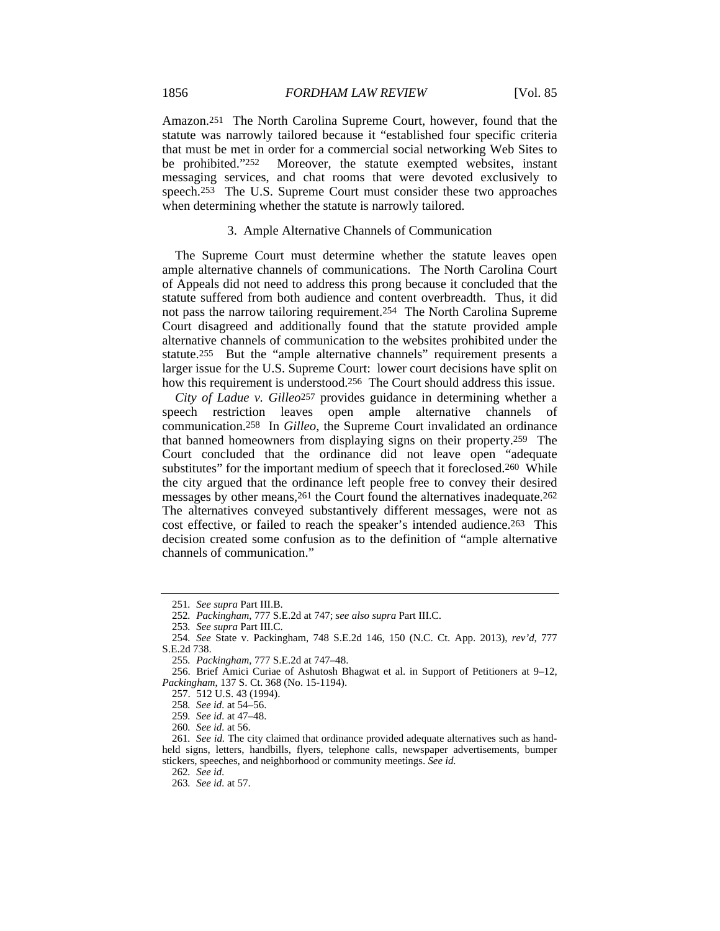Amazon.251 The North Carolina Supreme Court, however, found that the statute was narrowly tailored because it "established four specific criteria that must be met in order for a commercial social networking Web Sites to be prohibited."252 Moreover, the statute exempted websites, instant messaging services, and chat rooms that were devoted exclusively to speech.253 The U.S. Supreme Court must consider these two approaches when determining whether the statute is narrowly tailored.

### 3. Ample Alternative Channels of Communication

The Supreme Court must determine whether the statute leaves open ample alternative channels of communications. The North Carolina Court of Appeals did not need to address this prong because it concluded that the statute suffered from both audience and content overbreadth. Thus, it did not pass the narrow tailoring requirement.254 The North Carolina Supreme Court disagreed and additionally found that the statute provided ample alternative channels of communication to the websites prohibited under the statute.255 But the "ample alternative channels" requirement presents a larger issue for the U.S. Supreme Court: lower court decisions have split on how this requirement is understood.256 The Court should address this issue.

*City of Ladue v. Gilleo*257 provides guidance in determining whether a speech restriction leaves open ample alternative channels of communication.258 In *Gilleo*, the Supreme Court invalidated an ordinance that banned homeowners from displaying signs on their property.259 The Court concluded that the ordinance did not leave open "adequate substitutes" for the important medium of speech that it foreclosed.260 While the city argued that the ordinance left people free to convey their desired messages by other means,261 the Court found the alternatives inadequate.262 The alternatives conveyed substantively different messages, were not as cost effective, or failed to reach the speaker's intended audience.263 This decision created some confusion as to the definition of "ample alternative channels of communication."

<sup>251</sup>*. See supra* Part III.B.

<sup>252</sup>*. Packingham*, 777 S.E.2d at 747; *see also supra* Part III.C.

<sup>253</sup>*. See supra* Part III.C.

<sup>254</sup>*. See* State v. Packingham, 748 S.E.2d 146, 150 (N.C. Ct. App. 2013), *rev'd*, 777 S.E.2d 738.

<sup>255</sup>*. Packingham*, 777 S.E.2d at 747–48.

 <sup>256.</sup> Brief Amici Curiae of Ashutosh Bhagwat et al. in Support of Petitioners at 9–12, *Packingham*, 137 S. Ct. 368 (No. 15-1194).

 <sup>257. 512</sup> U.S. 43 (1994).

<sup>258</sup>*. See id.* at 54–56.

<sup>259</sup>*. See id.* at 47–48.

<sup>260</sup>*. See id.* at 56.

<sup>261</sup>*. See id.* The city claimed that ordinance provided adequate alternatives such as handheld signs, letters, handbills, flyers, telephone calls, newspaper advertisements, bumper stickers, speeches, and neighborhood or community meetings. *See id.*

<sup>262</sup>*. See id.*

<sup>263</sup>*. See id.* at 57.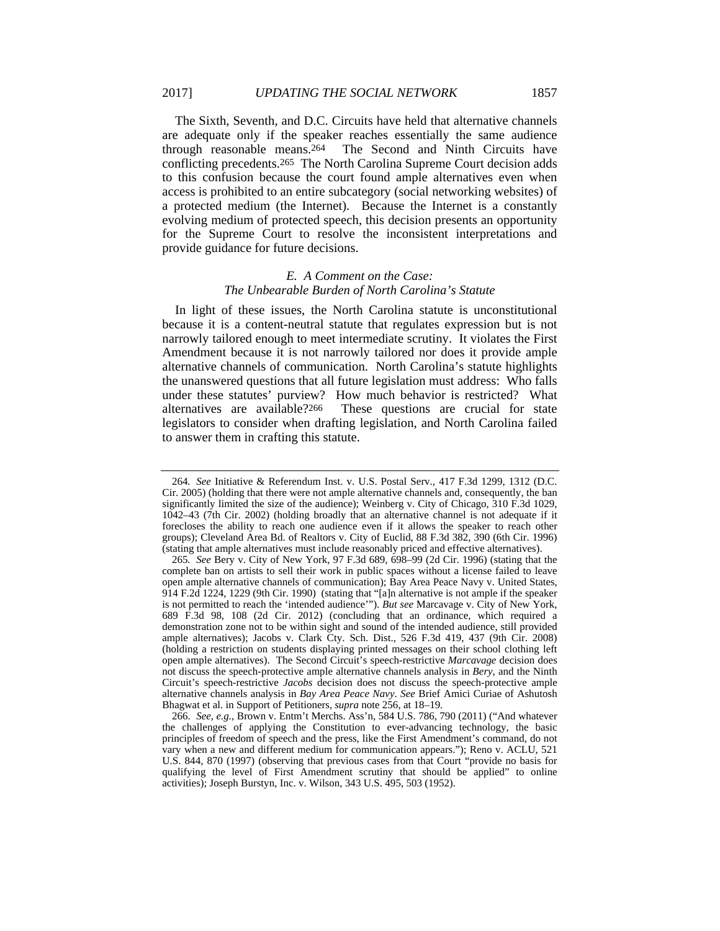The Sixth, Seventh, and D.C. Circuits have held that alternative channels are adequate only if the speaker reaches essentially the same audience through reasonable means.264 The Second and Ninth Circuits have conflicting precedents.265 The North Carolina Supreme Court decision adds to this confusion because the court found ample alternatives even when access is prohibited to an entire subcategory (social networking websites) of a protected medium (the Internet). Because the Internet is a constantly evolving medium of protected speech, this decision presents an opportunity for the Supreme Court to resolve the inconsistent interpretations and provide guidance for future decisions.

# *E. A Comment on the Case: The Unbearable Burden of North Carolina's Statute*

In light of these issues, the North Carolina statute is unconstitutional because it is a content-neutral statute that regulates expression but is not narrowly tailored enough to meet intermediate scrutiny. It violates the First Amendment because it is not narrowly tailored nor does it provide ample alternative channels of communication. North Carolina's statute highlights the unanswered questions that all future legislation must address: Who falls under these statutes' purview? How much behavior is restricted? What alternatives are available?266 These questions are crucial for state legislators to consider when drafting legislation, and North Carolina failed to answer them in crafting this statute.

<sup>264</sup>*. See* Initiative & Referendum Inst. v. U.S. Postal Serv., 417 F.3d 1299, 1312 (D.C. Cir. 2005) (holding that there were not ample alternative channels and, consequently, the ban significantly limited the size of the audience); Weinberg v. City of Chicago, 310 F.3d 1029, 1042–43 (7th Cir. 2002) (holding broadly that an alternative channel is not adequate if it forecloses the ability to reach one audience even if it allows the speaker to reach other groups); Cleveland Area Bd. of Realtors v. City of Euclid, 88 F.3d 382, 390 (6th Cir. 1996) (stating that ample alternatives must include reasonably priced and effective alternatives).

<sup>265</sup>*. See* Bery v. City of New York, 97 F.3d 689, 698–99 (2d Cir. 1996) (stating that the complete ban on artists to sell their work in public spaces without a license failed to leave open ample alternative channels of communication); Bay Area Peace Navy v. United States, 914 F.2d 1224, 1229 (9th Cir. 1990) (stating that "[a]n alternative is not ample if the speaker is not permitted to reach the 'intended audience'"). *But see* Marcavage v. City of New York, 689 F.3d 98, 108 (2d Cir. 2012) (concluding that an ordinance, which required a demonstration zone not to be within sight and sound of the intended audience, still provided ample alternatives); Jacobs v. Clark Cty. Sch. Dist., 526 F.3d 419, 437 (9th Cir. 2008) (holding a restriction on students displaying printed messages on their school clothing left open ample alternatives). The Second Circuit's speech-restrictive *Marcavage* decision does not discuss the speech-protective ample alternative channels analysis in *Bery*, and the Ninth Circuit's speech-restrictive *Jacobs* decision does not discuss the speech-protective ample alternative channels analysis in *Bay Area Peace Navy*. *See* Brief Amici Curiae of Ashutosh Bhagwat et al. in Support of Petitioners, *supra* note 256, at 18–19.

 <sup>266.</sup> *See, e.g.*, Brown v. Entm't Merchs. Ass'n, 584 U.S. 786, 790 (2011) ("And whatever the challenges of applying the Constitution to ever-advancing technology, the basic principles of freedom of speech and the press, like the First Amendment's command, do not vary when a new and different medium for communication appears."); Reno v. ACLU, 521 U.S. 844, 870 (1997) (observing that previous cases from that Court "provide no basis for qualifying the level of First Amendment scrutiny that should be applied" to online activities); Joseph Burstyn, Inc. v. Wilson, 343 U.S. 495, 503 (1952).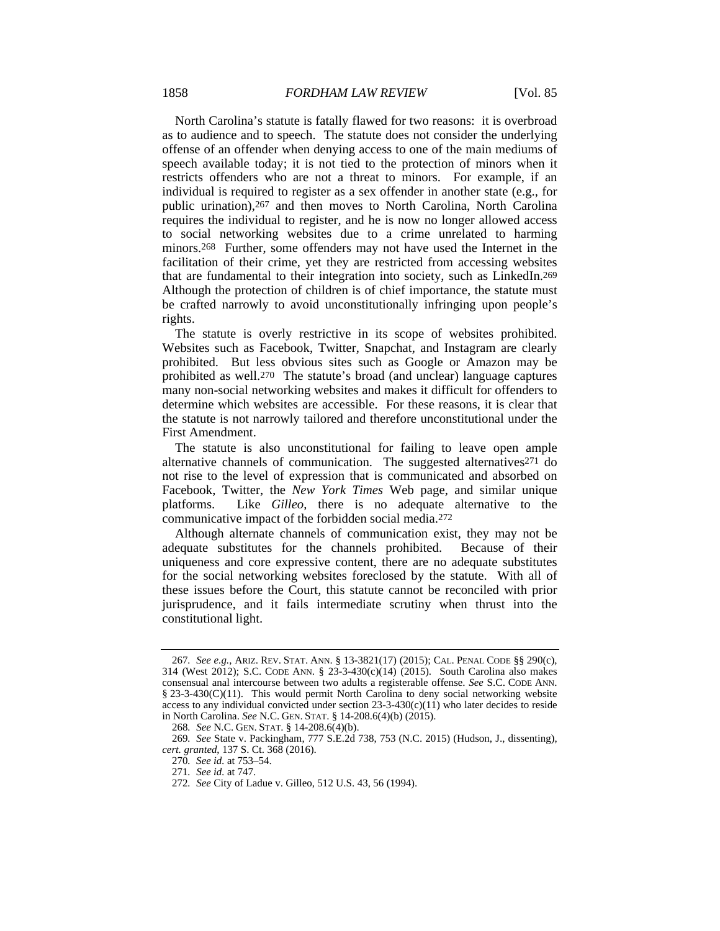North Carolina's statute is fatally flawed for two reasons: it is overbroad as to audience and to speech. The statute does not consider the underlying offense of an offender when denying access to one of the main mediums of speech available today; it is not tied to the protection of minors when it restricts offenders who are not a threat to minors. For example, if an individual is required to register as a sex offender in another state (e.g., for public urination),267 and then moves to North Carolina, North Carolina requires the individual to register, and he is now no longer allowed access to social networking websites due to a crime unrelated to harming minors.268 Further, some offenders may not have used the Internet in the facilitation of their crime, yet they are restricted from accessing websites that are fundamental to their integration into society, such as LinkedIn.269 Although the protection of children is of chief importance, the statute must be crafted narrowly to avoid unconstitutionally infringing upon people's rights.

The statute is overly restrictive in its scope of websites prohibited. Websites such as Facebook, Twitter, Snapchat, and Instagram are clearly prohibited. But less obvious sites such as Google or Amazon may be prohibited as well.270 The statute's broad (and unclear) language captures many non-social networking websites and makes it difficult for offenders to determine which websites are accessible. For these reasons, it is clear that the statute is not narrowly tailored and therefore unconstitutional under the First Amendment.

The statute is also unconstitutional for failing to leave open ample alternative channels of communication. The suggested alternatives271 do not rise to the level of expression that is communicated and absorbed on Facebook, Twitter, the *New York Times* Web page, and similar unique platforms. Like *Gilleo*, there is no adequate alternative to the communicative impact of the forbidden social media.272

Although alternate channels of communication exist, they may not be adequate substitutes for the channels prohibited. Because of their uniqueness and core expressive content, there are no adequate substitutes for the social networking websites foreclosed by the statute. With all of these issues before the Court, this statute cannot be reconciled with prior jurisprudence, and it fails intermediate scrutiny when thrust into the constitutional light.

<sup>267</sup>*. See e.g.*, ARIZ. REV. STAT. ANN. § 13-3821(17) (2015); CAL. PENAL CODE §§ 290(c), 314 (West 2012); S.C. CODE ANN. § 23-3-430(c)(14) (2015). South Carolina also makes consensual anal intercourse between two adults a registerable offense. *See* S.C. CODE ANN. § 23-3-430(C)(11). This would permit North Carolina to deny social networking website access to any individual convicted under section  $23-3-430(c)(11)$  who later decides to reside in North Carolina. *See* N.C. GEN. STAT. § 14-208.6(4)(b) (2015).

<sup>268</sup>*. See* N.C. GEN. STAT. § 14-208.6(4)(b).

<sup>269</sup>*. See* State v. Packingham, 777 S.E.2d 738, 753 (N.C. 2015) (Hudson, J., dissenting), *cert. granted*, 137 S. Ct. 368 (2016).

<sup>270</sup>*. See id.* at 753–54.

<sup>271</sup>*. See id.* at 747.

<sup>272</sup>*. See* City of Ladue v. Gilleo, 512 U.S. 43, 56 (1994).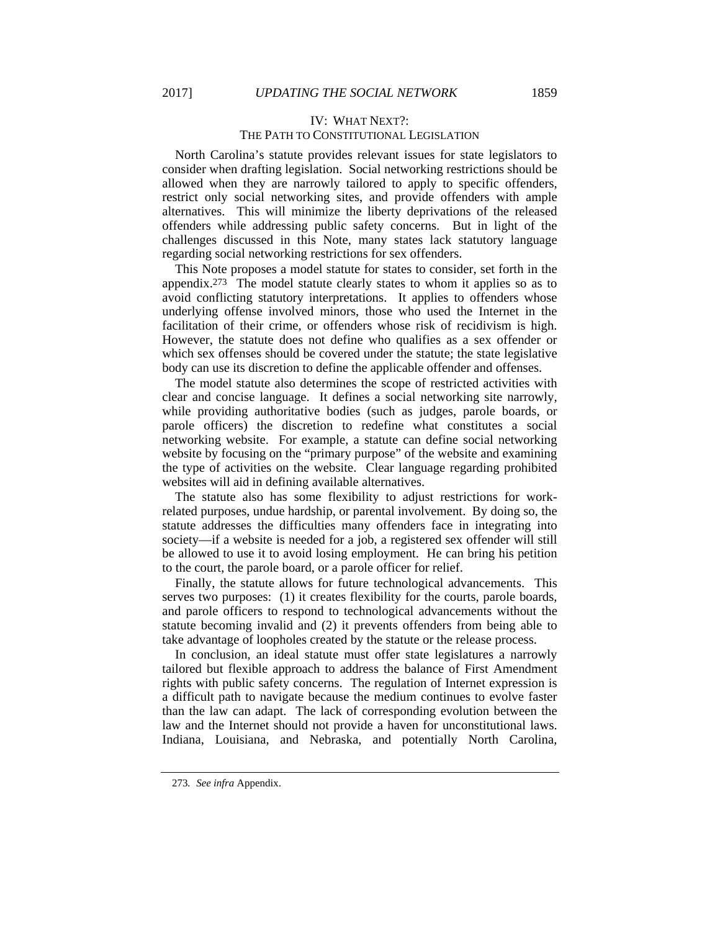# IV: WHAT NEXT?: THE PATH TO CONSTITUTIONAL LEGISLATION

North Carolina's statute provides relevant issues for state legislators to consider when drafting legislation. Social networking restrictions should be allowed when they are narrowly tailored to apply to specific offenders, restrict only social networking sites, and provide offenders with ample alternatives. This will minimize the liberty deprivations of the released offenders while addressing public safety concerns. But in light of the challenges discussed in this Note, many states lack statutory language regarding social networking restrictions for sex offenders.

This Note proposes a model statute for states to consider, set forth in the appendix.273 The model statute clearly states to whom it applies so as to avoid conflicting statutory interpretations. It applies to offenders whose underlying offense involved minors, those who used the Internet in the facilitation of their crime, or offenders whose risk of recidivism is high. However, the statute does not define who qualifies as a sex offender or which sex offenses should be covered under the statute; the state legislative body can use its discretion to define the applicable offender and offenses.

The model statute also determines the scope of restricted activities with clear and concise language. It defines a social networking site narrowly, while providing authoritative bodies (such as judges, parole boards, or parole officers) the discretion to redefine what constitutes a social networking website. For example, a statute can define social networking website by focusing on the "primary purpose" of the website and examining the type of activities on the website. Clear language regarding prohibited websites will aid in defining available alternatives.

The statute also has some flexibility to adjust restrictions for workrelated purposes, undue hardship, or parental involvement. By doing so, the statute addresses the difficulties many offenders face in integrating into society—if a website is needed for a job, a registered sex offender will still be allowed to use it to avoid losing employment. He can bring his petition to the court, the parole board, or a parole officer for relief.

Finally, the statute allows for future technological advancements. This serves two purposes: (1) it creates flexibility for the courts, parole boards, and parole officers to respond to technological advancements without the statute becoming invalid and (2) it prevents offenders from being able to take advantage of loopholes created by the statute or the release process.

In conclusion, an ideal statute must offer state legislatures a narrowly tailored but flexible approach to address the balance of First Amendment rights with public safety concerns. The regulation of Internet expression is a difficult path to navigate because the medium continues to evolve faster than the law can adapt. The lack of corresponding evolution between the law and the Internet should not provide a haven for unconstitutional laws. Indiana, Louisiana, and Nebraska, and potentially North Carolina,

<sup>273</sup>*. See infra* Appendix.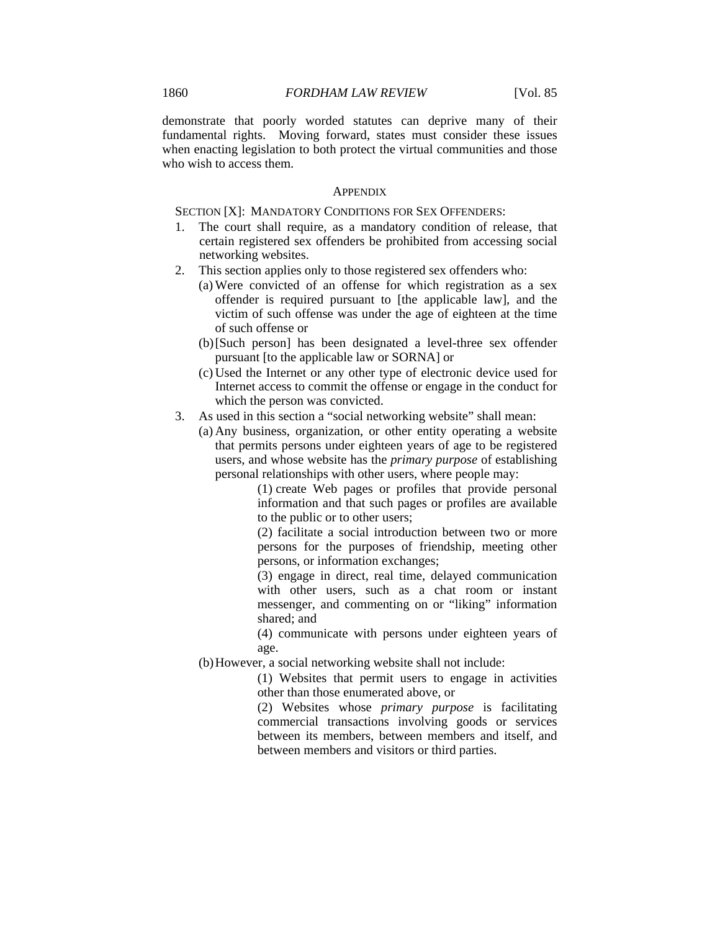demonstrate that poorly worded statutes can deprive many of their fundamental rights. Moving forward, states must consider these issues when enacting legislation to both protect the virtual communities and those who wish to access them.

#### **APPENDIX**

SECTION [X]: MANDATORY CONDITIONS FOR SEX OFFENDERS:

- 1. The court shall require, as a mandatory condition of release, that certain registered sex offenders be prohibited from accessing social networking websites.
- 2. This section applies only to those registered sex offenders who:
	- (a) Were convicted of an offense for which registration as a sex offender is required pursuant to [the applicable law], and the victim of such offense was under the age of eighteen at the time of such offense or
	- (b) [Such person] has been designated a level-three sex offender pursuant [to the applicable law or SORNA] or
	- (c) Used the Internet or any other type of electronic device used for Internet access to commit the offense or engage in the conduct for which the person was convicted.
- 3. As used in this section a "social networking website" shall mean:
	- (a) Any business, organization, or other entity operating a website that permits persons under eighteen years of age to be registered users, and whose website has the *primary purpose* of establishing personal relationships with other users, where people may:

 (1) create Web pages or profiles that provide personal information and that such pages or profiles are available to the public or to other users;

 (2) facilitate a social introduction between two or more persons for the purposes of friendship, meeting other persons, or information exchanges;

 (3) engage in direct, real time, delayed communication with other users, such as a chat room or instant messenger, and commenting on or "liking" information shared; and

 (4) communicate with persons under eighteen years of age.

(b) However, a social networking website shall not include:

(1) Websites that permit users to engage in activities other than those enumerated above, or

(2) Websites whose *primary purpose* is facilitating commercial transactions involving goods or services between its members, between members and itself, and between members and visitors or third parties.